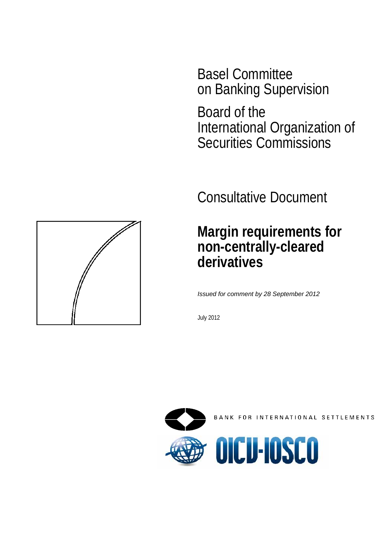Basel Committee on Banking Supervision

Board of the International Organization of Securities Commissions

Consultative Document

# **Margin requirements for non-centrally-cleared derivatives**

*Issued for comment by 28 September 2012* 

July 2012



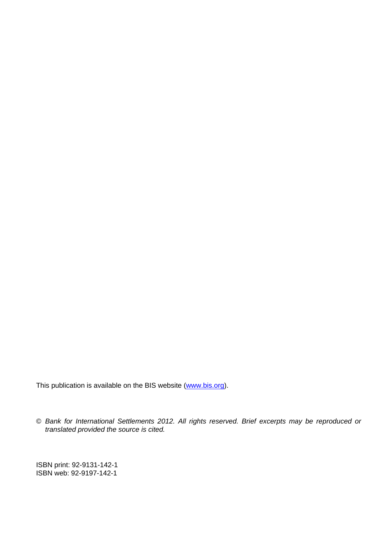This publication is available on the BIS website [\(www.bis.org\)](http://www.bis.org/).

© *Bank for International Settlements 2012. All rights reserved. Brief excerpts may be reproduced or translated provided the source is cited.* 

ISBN print: 92-9131-142-1 ISBN web: 92-9197-142-1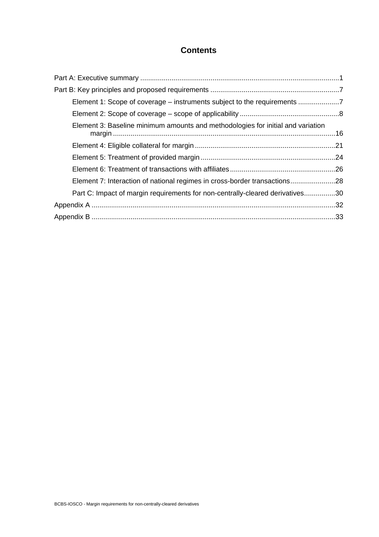## **Contents**

| Element 1: Scope of coverage – instruments subject to the requirements          |  |
|---------------------------------------------------------------------------------|--|
|                                                                                 |  |
| Element 3: Baseline minimum amounts and methodologies for initial and variation |  |
|                                                                                 |  |
|                                                                                 |  |
|                                                                                 |  |
| Element 7: Interaction of national regimes in cross-border transactions28       |  |
| Part C: Impact of margin requirements for non-centrally-cleared derivatives30   |  |
|                                                                                 |  |
|                                                                                 |  |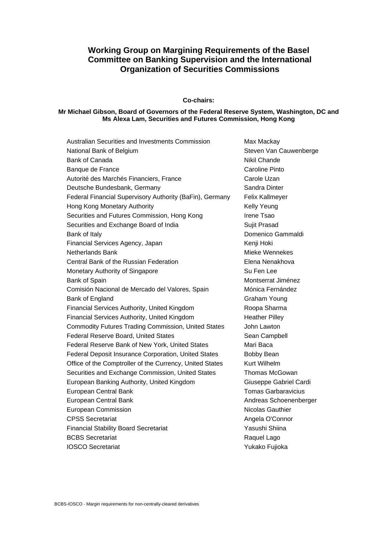## **Working Group on Margining Requirements of the Basel Committee on Banking Supervision and the International Organization of Securities Commissions**

#### **Co-chairs:**

#### **Mr Michael Gibson, Board of Governors of the Federal Reserve System, Washington, DC and Ms Alexa Lam, Securities and Futures Commission, Hong Kong**

| Australian Securities and Investments Commission           | Max Mackay                 |
|------------------------------------------------------------|----------------------------|
| National Bank of Belgium                                   | Steven Van Cauwenberge     |
| <b>Bank of Canada</b>                                      | Nikil Chande               |
| Banque de France                                           | Caroline Pinto             |
| Autorité des Marchés Financiers, France                    | Carole Uzan                |
| Deutsche Bundesbank, Germany                               | Sandra Dinter              |
| Federal Financial Supervisory Authority (BaFin), Germany   | Felix Kallmeyer            |
| Hong Kong Monetary Authority                               | Kelly Yeung                |
| Securities and Futures Commission, Hong Kong               | <b>Irene Tsao</b>          |
| Securities and Exchange Board of India                     | Sujit Prasad               |
| Bank of Italy                                              | Domenico Gammaldi          |
| Financial Services Agency, Japan                           | Kenji Hoki                 |
| <b>Netherlands Bank</b>                                    | Mieke Wennekes             |
| Central Bank of the Russian Federation                     | Elena Nenakhova            |
| Monetary Authority of Singapore                            | Su Fen Lee                 |
| Bank of Spain                                              | Montserrat Jiménez         |
| Comisión Nacional de Mercado del Valores, Spain            | Mónica Fernández           |
| Bank of England                                            | Graham Young               |
| Financial Services Authority, United Kingdom               | Roopa Sharma               |
| Financial Services Authority, United Kingdom               | <b>Heather Pilley</b>      |
| <b>Commodity Futures Trading Commission, United States</b> | John Lawton                |
| Federal Reserve Board, United States                       | Sean Campbell              |
| Federal Reserve Bank of New York, United States            | Mari Baca                  |
| Federal Deposit Insurance Corporation, United States       | Bobby Bean                 |
| Office of the Comptroller of the Currency, United States   | <b>Kurt Wilhelm</b>        |
| Securities and Exchange Commission, United States          | <b>Thomas McGowan</b>      |
| European Banking Authority, United Kingdom                 | Giuseppe Gabriel Cardi     |
| European Central Bank                                      | <b>Tomas Garbaravicius</b> |
| European Central Bank                                      | Andreas Schoenenberger     |
| European Commission                                        | Nicolas Gauthier           |
| <b>CPSS Secretariat</b>                                    | Angela O'Connor            |
| <b>Financial Stability Board Secretariat</b>               | Yasushi Shiina             |
| <b>BCBS</b> Secretariat                                    | Raquel Lago                |
| <b>IOSCO Secretariat</b>                                   | Yukako Fujioka             |
|                                                            |                            |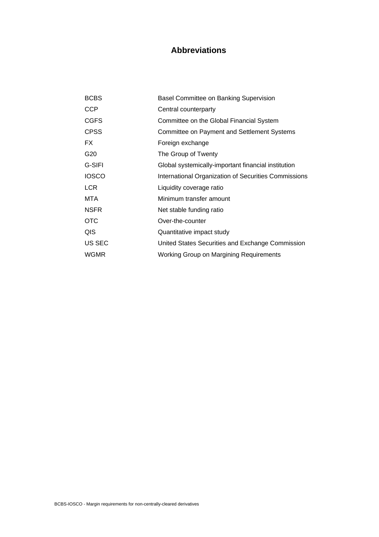## **Abbreviations**

| <b>BCBS</b>     | Basel Committee on Banking Supervision               |
|-----------------|------------------------------------------------------|
| <b>CCP</b>      | Central counterparty                                 |
| <b>CGFS</b>     | Committee on the Global Financial System             |
| <b>CPSS</b>     | <b>Committee on Payment and Settlement Systems</b>   |
| FX              | Foreign exchange                                     |
| G <sub>20</sub> | The Group of Twenty                                  |
| G-SIFI          | Global systemically-important financial institution  |
| <b>IOSCO</b>    | International Organization of Securities Commissions |
| <b>LCR</b>      | Liquidity coverage ratio                             |
| MTA             | Minimum transfer amount                              |
| <b>NSFR</b>     | Net stable funding ratio                             |
| <b>OTC</b>      | Over-the-counter                                     |
| QIS             | Quantitative impact study                            |
| US SEC          | United States Securities and Exchange Commission     |
| <b>WGMR</b>     | <b>Working Group on Margining Requirements</b>       |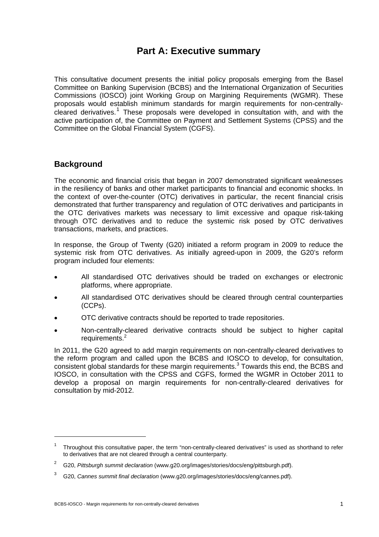## **Part A: Executive summary**

This consultative document presents the initial policy proposals emerging from the Basel Committee on Banking Supervision (BCBS) and the International Organization of Securities Commissions (IOSCO) joint Working Group on Margining Requirements (WGMR). These proposals would establish minimum standards for margin requirements for non-centrallycleared derivatives.<sup>1</sup> These proposals were developed in consultation with, and with the active participation of, the Committee on Payment and Settlement Systems (CPSS) and the Committee on the Global Financial System (CGFS).

## **Background**

The economic and financial crisis that began in 2007 demonstrated significant weaknesses in the resiliency of banks and other market participants to financial and economic shocks. In the context of over-the-counter (OTC) derivatives in particular, the recent financial crisis demonstrated that further transparency and regulation of OTC derivatives and participants in the OTC derivatives markets was necessary to limit excessive and opaque risk-taking through OTC derivatives and to reduce the systemic risk posed by OTC derivatives transactions, markets, and practices.

In response, the Group of Twenty (G20) initiated a reform program in 2009 to reduce the systemic risk from OTC derivatives. As initially agreed-upon in 2009, the G20's reform program included four elements:

- All standardised OTC derivatives should be traded on exchanges or electronic platforms, where appropriate.
- All standardised OTC derivatives should be cleared through central counterparties (CCPs).
- OTC derivative contracts should be reported to trade repositories.
- Non-centrally-cleared derivative contracts should be subject to higher capital requirements.<sup>2</sup>

In 2011, the G20 agreed to add margin requirements on non-centrally-cleared derivatives to the reform program and called upon the BCBS and IOSCO to develop, for consultation, consistent global standards for these margin requirements.<sup>3</sup> Towards this end, the BCBS and IOSCO, in consultation with the CPSS and CGFS, formed the WGMR in October 2011 to develop a proposal on margin requirements for non-centrally-cleared derivatives for consultation by mid-2012.

<sup>1</sup> Throughout this consultative paper, the term "non-centrally-cleared derivatives" is used as shorthand to refer to derivatives that are not cleared through a central counterparty.

<sup>2</sup> G20, *Pittsburgh summit declaration* (www.g20.org/images/stories/docs/eng/pittsburgh.pdf).

<sup>3</sup> G20, *Cannes summit final declaration* (www.g20.org/images/stories/docs/eng/cannes.pdf).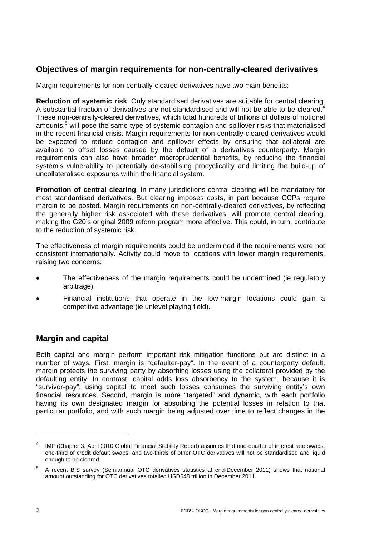## **Objectives of margin requirements for non-centrally-cleared derivatives**

Margin requirements for non-centrally-cleared derivatives have two main benefits:

**Reduction of systemic risk**. Only standardised derivatives are suitable for central clearing. A substantial fraction of derivatives are not standardised and will not be able to be cleared.<sup>4</sup> These non-centrally-cleared derivatives, which total hundreds of trillions of dollars of notional amounts,<sup>5</sup> will pose the same type of systemic contagion and spillover risks that materialised in the recent financial crisis. Margin requirements for non-centrally-cleared derivatives would be expected to reduce contagion and spillover effects by ensuring that collateral are available to offset losses caused by the default of a derivatives counterparty. Margin requirements can also have broader macroprudential benefits, by reducing the financial system's vulnerability to potentially de-stabilising procyclicality and limiting the build-up of uncollateralised exposures within the financial system.

**Promotion of central clearing**. In many jurisdictions central clearing will be mandatory for most standardised derivatives. But clearing imposes costs, in part because CCPs require margin to be posted. Margin requirements on non-centrally-cleared derivatives, by reflecting the generally higher risk associated with these derivatives, will promote central clearing, making the G20's original 2009 reform program more effective. This could, in turn, contribute to the reduction of systemic risk.

The effectiveness of margin requirements could be undermined if the requirements were not consistent internationally. Activity could move to locations with lower margin requirements, raising two concerns:

- The effectiveness of the margin requirements could be undermined (ie regulatory arbitrage).
- Financial institutions that operate in the low-margin locations could gain a competitive advantage (ie unlevel playing field).

## **Margin and capital**

Both capital and margin perform important risk mitigation functions but are distinct in a number of ways. First, margin is "defaulter-pay". In the event of a counterparty default, margin protects the surviving party by absorbing losses using the collateral provided by the defaulting entity. In contrast, capital adds loss absorbency to the system, because it is "survivor-pay", using capital to meet such losses consumes the surviving entity's own financial resources. Second, margin is more "targeted" and dynamic, with each portfolio having its own designated margin for absorbing the potential losses in relation to that particular portfolio, and with such margin being adjusted over time to reflect changes in the

<sup>4</sup> IMF (Chapter 3, April 2010 Global Financial Stability Report) assumes that one-quarter of interest rate swaps, one-third of credit default swaps, and two-thirds of other OTC derivatives will not be standardised and liquid enough to be cleared.

<sup>5</sup> A recent BIS survey (Semiannual OTC derivatives statistics at end-December 2011) shows that notional amount outstanding for OTC derivatives totalled USD648 trillion in December 2011.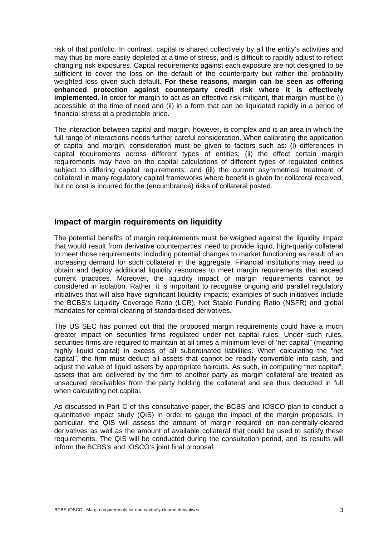risk of that portfolio. In contrast, capital is shared collectively by all the entity's activities and may thus be more easily depleted at a time of stress, and is difficult to rapidly adjust to reflect changing risk exposures. Capital requirements against each exposure are not designed to be sufficient to cover the loss on the default of the counterparty but rather the probability weighted loss given such default. **For these reasons, margin can be seen as offering enhanced protection against counterparty credit risk where it is effectively implemented**. In order for margin to act as an effective risk mitigant, that margin must be (i) accessible at the time of need and (ii) in a form that can be liquidated rapidly in a period of financial stress at a predictable price.

The interaction between capital and margin, however, is complex and is an area in which the full range of interactions needs further careful consideration. When calibrating the application of capital and margin, consideration must be given to factors such as: (i) differences in capital requirements across different types of entities; (ii) the effect certain margin requirements may have on the capital calculations of different types of regulated entities subject to differing capital requirements; and (iii) the current asymmetrical treatment of collateral in many regulatory capital frameworks where benefit is given for collateral received, but no cost is incurred for the (encumbrance) risks of collateral posted.

#### **Impact of margin requirements on liquidity**

The potential benefits of margin requirements must be weighed against the liquidity impact that would result from derivative counterparties' need to provide liquid, high-quality collateral to meet those requirements, including potential changes to market functioning as result of an increasing demand for such collateral in the aggregate. Financial institutions may need to obtain and deploy additional liquidity resources to meet margin requirements that exceed current practices. Moreover, the liquidity impact of margin requirements cannot be considered in isolation. Rather, it is important to recognise ongoing and parallel regulatory initiatives that will also have significant liquidity impacts; examples of such initiatives include the BCBS's Liquidity Coverage Ratio (LCR), Net Stable Funding Ratio (NSFR) and global mandates for central clearing of standardised derivatives.

The US SEC has pointed out that the proposed margin requirements could have a much greater impact on securities firms regulated under net capital rules. Under such rules, securities firms are required to maintain at all times a minimum level of 'net capital" (meaning highly liquid capital) in excess of all subordinated liabilities. When calculating the "net capital", the firm must deduct all assets that cannot be readily convertible into cash, and adjust the value of liquid assets by appropriate haircuts. As such, in computing "net capital", assets that are delivered by the firm to another party as margin collateral are treated as unsecured receivables from the party holding the collateral and are thus deducted in full when calculating net capital.

As discussed in Part C of this consultative paper, the BCBS and IOSCO plan to conduct a quantitative impact study (QIS) in order to gauge the impact of the margin proposals. In particular, the QIS will assess the amount of margin required on non-centrally-cleared derivatives as well as the amount of available collateral that could be used to satisfy these requirements. The QIS will be conducted during the consultation period, and its results will inform the BCBS's and IOSCO's joint final proposal.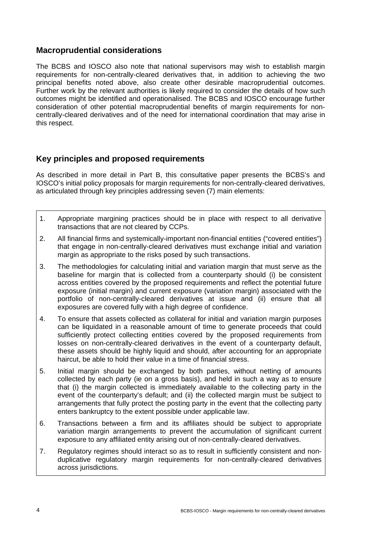## **Macroprudential considerations**

The BCBS and IOSCO also note that national supervisors may wish to establish margin requirements for non-centrally-cleared derivatives that, in addition to achieving the two principal benefits noted above, also create other desirable macroprudential outcomes. Further work by the relevant authorities is likely required to consider the details of how such outcomes might be identified and operationalised. The BCBS and IOSCO encourage further consideration of other potential macroprudential benefits of margin requirements for noncentrally-cleared derivatives and of the need for international coordination that may arise in this respect.

## **Key principles and proposed requirements**

As described in more detail in Part B, this consultative paper presents the BCBS's and IOSCO's initial policy proposals for margin requirements for non-centrally-cleared derivatives, as articulated through key principles addressing seven (7) main elements:

- 1. Appropriate margining practices should be in place with respect to all derivative transactions that are not cleared by CCPs.
- 2. All financial firms and systemically-important non-financial entities ("covered entities") that engage in non-centrally-cleared derivatives must exchange initial and variation margin as appropriate to the risks posed by such transactions.
- 3. The methodologies for calculating initial and variation margin that must serve as the baseline for margin that is collected from a counterparty should (i) be consistent across entities covered by the proposed requirements and reflect the potential future exposure (initial margin) and current exposure (variation margin) associated with the portfolio of non-centrally-cleared derivatives at issue and (ii) ensure that all exposures are covered fully with a high degree of confidence.
- 4. To ensure that assets collected as collateral for initial and variation margin purposes can be liquidated in a reasonable amount of time to generate proceeds that could sufficiently protect collecting entities covered by the proposed requirements from losses on non-centrally-cleared derivatives in the event of a counterparty default, these assets should be highly liquid and should, after accounting for an appropriate haircut, be able to hold their value in a time of financial stress.
- 5. Initial margin should be exchanged by both parties, without netting of amounts collected by each party (ie on a gross basis), and held in such a way as to ensure that (i) the margin collected is immediately available to the collecting party in the event of the counterparty's default; and (ii) the collected margin must be subject to arrangements that fully protect the posting party in the event that the collecting party enters bankruptcy to the extent possible under applicable law.
- 6. Transactions between a firm and its affiliates should be subject to appropriate variation margin arrangements to prevent the accumulation of significant current exposure to any affiliated entity arising out of non-centrally-cleared derivatives.
- 7. Regulatory regimes should interact so as to result in sufficiently consistent and nonduplicative regulatory margin requirements for non-centrally-cleared derivatives across jurisdictions.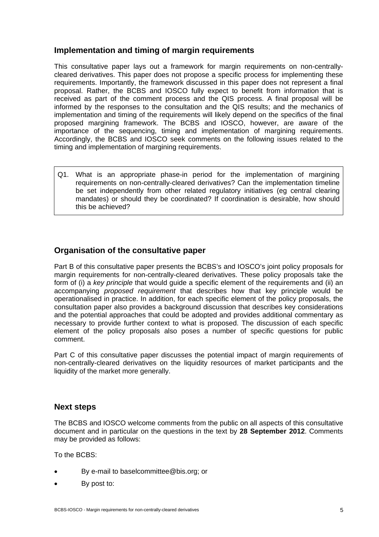## **Implementation and timing of margin requirements**

This consultative paper lays out a framework for margin requirements on non-centrallycleared derivatives. This paper does not propose a specific process for implementing these requirements. Importantly, the framework discussed in this paper does not represent a final proposal. Rather, the BCBS and IOSCO fully expect to benefit from information that is received as part of the comment process and the QIS process. A final proposal will be informed by the responses to the consultation and the QIS results; and the mechanics of implementation and timing of the requirements will likely depend on the specifics of the final proposed margining framework. The BCBS and IOSCO, however, are aware of the importance of the sequencing, timing and implementation of margining requirements. Accordingly, the BCBS and IOSCO seek comments on the following issues related to the timing and implementation of margining requirements.

Q1. What is an appropriate phase-in period for the implementation of margining requirements on non-centrally-cleared derivatives? Can the implementation timeline be set independently from other related regulatory initiatives (eg central clearing mandates) or should they be coordinated? If coordination is desirable, how should this be achieved?

## **Organisation of the consultative paper**

Part B of this consultative paper presents the BCBS's and IOSCO's joint policy proposals for margin requirements for non-centrally-cleared derivatives. These policy proposals take the form of (i) a *key principle* that would guide a specific element of the requirements and (ii) an accompanying *proposed requirement* that describes how that key principle would be operationalised in practice. In addition, for each specific element of the policy proposals, the consultation paper also provides a background discussion that describes key considerations and the potential approaches that could be adopted and provides additional commentary as necessary to provide further context to what is proposed. The discussion of each specific element of the policy proposals also poses a number of specific questions for public comment.

Part C of this consultative paper discusses the potential impact of margin requirements of non-centrally-cleared derivatives on the liquidity resources of market participants and the liquidity of the market more generally.

## **Next steps**

The BCBS and IOSCO welcome comments from the public on all aspects of this consultative document and in particular on the questions in the text by **28 September 2012**. Comments may be provided as follows:

To the BCBS:

- By e-mail to baselcommittee@bis.org; or
- By post to: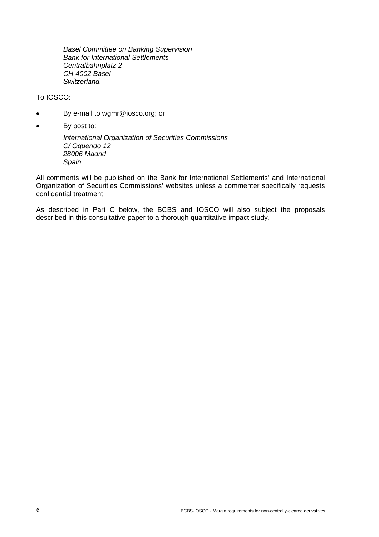*Basel Committee on Banking Supervision Bank for International Settlements Centralbahnplatz 2 CH-4002 Basel Switzerland.* 

#### To IOSCO:

- By e-mail to [wgmr@iosco.org](mailto:wgmr@iosco.org); or
- By post to:

*International Organization of Securities Commissions C/ Oquendo 12 28006 Madrid Spain* 

All comments will be published on the Bank for International Settlements' and International Organization of Securities Commissions' websites unless a commenter specifically requests confidential treatment.

As described in Part C below, the BCBS and IOSCO will also subject the proposals described in this consultative paper to a thorough quantitative impact study.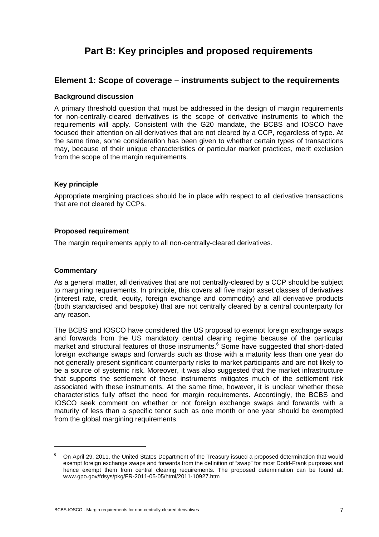# **Part B: Key principles and proposed requirements**

### **Element 1: Scope of coverage – instruments subject to the requirements**

#### **Background discussion**

A primary threshold question that must be addressed in the design of margin requirements for non-centrally-cleared derivatives is the scope of derivative instruments to which the requirements will apply. Consistent with the G20 mandate, the BCBS and IOSCO have focused their attention on all derivatives that are not cleared by a CCP, regardless of type. At the same time, some consideration has been given to whether certain types of transactions may, because of their unique characteristics or particular market practices, merit exclusion from the scope of the margin requirements.

#### **Key principle**

Appropriate margining practices should be in place with respect to all derivative transactions that are not cleared by CCPs.

#### **Proposed requirement**

The margin requirements apply to all non-centrally-cleared derivatives.

#### **Commentary**

As a general matter, all derivatives that are not centrally-cleared by a CCP should be subject to margining requirements. In principle, this covers all five major asset classes of derivatives (interest rate, credit, equity, foreign exchange and commodity) and all derivative products (both standardised and bespoke) that are not centrally cleared by a central counterparty for any reason.

The BCBS and IOSCO have considered the US proposal to exempt foreign exchange swaps and forwards from the US mandatory central clearing regime because of the particular market and structural features of those instruments.<sup>6</sup> Some have suggested that short-dated foreign exchange swaps and forwards such as those with a maturity less than one year do not generally present significant counterparty risks to market participants and are not likely to be a source of systemic risk. Moreover, it was also suggested that the market infrastructure that supports the settlement of these instruments mitigates much of the settlement risk associated with these instruments. At the same time, however, it is unclear whether these characteristics fully offset the need for margin requirements. Accordingly, the BCBS and IOSCO seek comment on whether or not foreign exchange swaps and forwards with a maturity of less than a specific tenor such as one month or one year should be exempted from the global margining requirements.

<sup>6</sup> On April 29, 2011, the United States Department of the Treasury issued a proposed determination that would exempt foreign exchange swaps and forwards from the definition of "swap" for most Dodd-Frank purposes and hence exempt them from central clearing requirements. The proposed determination can be found at: www.gpo.gov/fdsys/pkg/FR-2011-05-05/html/2011-10927.htm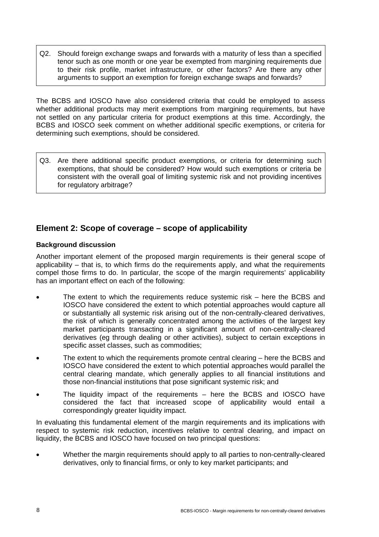Q2. Should foreign exchange swaps and forwards with a maturity of less than a specified tenor such as one month or one year be exempted from margining requirements due to their risk profile, market infrastructure, or other factors? Are there any other arguments to support an exemption for foreign exchange swaps and forwards?

The BCBS and IOSCO have also considered criteria that could be employed to assess whether additional products may merit exemptions from margining requirements, but have not settled on any particular criteria for product exemptions at this time. Accordingly, the BCBS and IOSCO seek comment on whether additional specific exemptions, or criteria for determining such exemptions, should be considered.

Q3. Are there additional specific product exemptions, or criteria for determining such exemptions, that should be considered? How would such exemptions or criteria be consistent with the overall goal of limiting systemic risk and not providing incentives for regulatory arbitrage?

## **Element 2: Scope of coverage – scope of applicability**

#### **Background discussion**

Another important element of the proposed margin requirements is their general scope of applicability – that is, to which firms do the requirements apply, and what the requirements compel those firms to do. In particular, the scope of the margin requirements' applicability has an important effect on each of the following:

- The extent to which the requirements reduce systemic risk here the BCBS and IOSCO have considered the extent to which potential approaches would capture all or substantially all systemic risk arising out of the non-centrally-cleared derivatives, the risk of which is generally concentrated among the activities of the largest key market participants transacting in a significant amount of non-centrally-cleared derivatives (eg through dealing or other activities), subject to certain exceptions in specific asset classes, such as commodities;
- The extent to which the requirements promote central clearing here the BCBS and IOSCO have considered the extent to which potential approaches would parallel the central clearing mandate, which generally applies to all financial institutions and those non-financial institutions that pose significant systemic risk; and
- The liquidity impact of the requirements here the BCBS and IOSCO have considered the fact that increased scope of applicability would entail a correspondingly greater liquidity impact.

In evaluating this fundamental element of the margin requirements and its implications with respect to systemic risk reduction, incentives relative to central clearing, and impact on liquidity, the BCBS and IOSCO have focused on two principal questions:

 Whether the margin requirements should apply to all parties to non-centrally-cleared derivatives, only to financial firms, or only to key market participants; and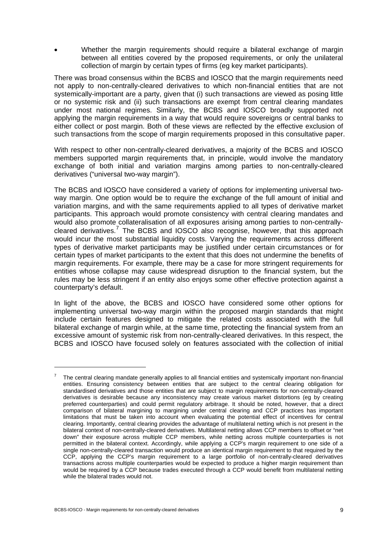Whether the margin requirements should require a bilateral exchange of margin between all entities covered by the proposed requirements, or only the unilateral collection of margin by certain types of firms (eg key market participants).

There was broad consensus within the BCBS and IOSCO that the margin requirements need not apply to non-centrally-cleared derivatives to which non-financial entities that are not systemically-important are a party, given that (i) such transactions are viewed as posing little or no systemic risk and (ii) such transactions are exempt from central clearing mandates under most national regimes. Similarly, the BCBS and IOSCO broadly supported not applying the margin requirements in a way that would require sovereigns or central banks to either collect or post margin. Both of these views are reflected by the effective exclusion of such transactions from the scope of margin requirements proposed in this consultative paper.

With respect to other non-centrally-cleared derivatives, a majority of the BCBS and IOSCO members supported margin requirements that, in principle, would involve the mandatory exchange of both initial and variation margins among parties to non-centrally-cleared derivatives ("universal two-way margin").

The BCBS and IOSCO have considered a variety of options for implementing universal twoway margin. One option would be to require the exchange of the full amount of initial and variation margins, and with the same requirements applied to all types of derivative market participants. This approach would promote consistency with central clearing mandates and would also promote collateralisation of all exposures arising among parties to non-centrallycleared derivatives.<sup>7</sup> The BCBS and IOSCO also recognise, however, that this approach would incur the most substantial liquidity costs. Varying the requirements across different types of derivative market participants may be justified under certain circumstances or for certain types of market participants to the extent that this does not undermine the benefits of margin requirements. For example, there may be a case for more stringent requirements for entities whose collapse may cause widespread disruption to the financial system, but the rules may be less stringent if an entity also enjoys some other effective protection against a counterparty's default.

In light of the above, the BCBS and IOSCO have considered some other options for implementing universal two-way margin within the proposed margin standards that might include certain features designed to mitigate the related costs associated with the full bilateral exchange of margin while, at the same time, protecting the financial system from an excessive amount of systemic risk from non-centrally-cleared derivatives. In this respect, the BCBS and IOSCO have focused solely on features associated with the collection of initial

<sup>7</sup> The central clearing mandate generally applies to all financial entities and systemically important non-financial entities. Ensuring consistency between entities that are subject to the central clearing obligation for standardised derivatives and those entities that are subject to margin requirements for non-centrally-cleared derivatives is desirable because any inconsistency may create various market distortions (eg by creating preferred counterparties) and could permit regulatory arbitrage. It should be noted, however, that a direct comparison of bilateral margining to margining under central clearing and CCP practices has important limitations that must be taken into account when evaluating the potential effect of incentives for central clearing. Importantly, central clearing provides the advantage of multilateral netting which is not present in the bilateral context of non-centrally-cleared derivatives. Multilateral netting allows CCP members to offset or "net down" their exposure across multiple CCP members, while netting across multiple counterparties is not permitted in the bilateral context. Accordingly, while applying a CCP's margin requirement to one side of a single non-centrally-cleared transaction would produce an identical margin requirement to that required by the CCP, applying the CCP's margin requirement to a large portfolio of non-centrally-cleared derivatives transactions across multiple counterparties would be expected to produce a higher margin requirement than would be required by a CCP because trades executed through a CCP would benefit from multilateral netting while the bilateral trades would not.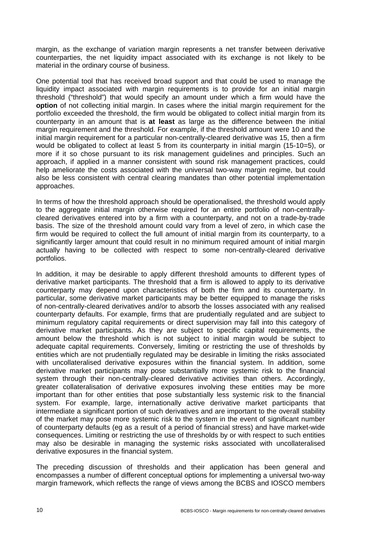margin, as the exchange of variation margin represents a net transfer between derivative counterparties, the net liquidity impact associated with its exchange is not likely to be material in the ordinary course of business.

One potential tool that has received broad support and that could be used to manage the liquidity impact associated with margin requirements is to provide for an initial margin threshold ("threshold") that would specify an amount under which a firm would have the **option** of not collecting initial margin. In cases where the initial margin requirement for the portfolio exceeded the threshold, the firm would be obligated to collect initial margin from its counterparty in an amount that is **at least** as large as the difference between the initial margin requirement and the threshold. For example, if the threshold amount were 10 and the initial margin requirement for a particular non-centrally-cleared derivative was 15, then a firm would be obligated to collect at least 5 from its counterparty in initial margin (15-10=5), or more if it so chose pursuant to its risk management guidelines and principles. Such an approach, if applied in a manner consistent with sound risk management practices, could help ameliorate the costs associated with the universal two-way margin regime, but could also be less consistent with central clearing mandates than other potential implementation approaches.

In terms of how the threshold approach should be operationalised, the threshold would apply to the aggregate initial margin otherwise required for an entire portfolio of non-centrallycleared derivatives entered into by a firm with a counterparty, and not on a trade-by-trade basis. The size of the threshold amount could vary from a level of zero, in which case the firm would be required to collect the full amount of initial margin from its counterparty, to a significantly larger amount that could result in no minimum required amount of initial margin actually having to be collected with respect to some non-centrally-cleared derivative portfolios.

In addition, it may be desirable to apply different threshold amounts to different types of derivative market participants. The threshold that a firm is allowed to apply to its derivative counterparty may depend upon characteristics of both the firm and its counterparty. In particular, some derivative market participants may be better equipped to manage the risks of non-centrally-cleared derivatives and/or to absorb the losses associated with any realised counterparty defaults. For example, firms that are prudentially regulated and are subject to minimum regulatory capital requirements or direct supervision may fall into this category of derivative market participants. As they are subject to specific capital requirements, the amount below the threshold which is not subject to initial margin would be subject to adequate capital requirements. Conversely, limiting or restricting the use of thresholds by entities which are not prudentially regulated may be desirable in limiting the risks associated with uncollateralised derivative exposures within the financial system. In addition, some derivative market participants may pose substantially more systemic risk to the financial system through their non-centrally-cleared derivative activities than others. Accordingly, greater collateralisation of derivative exposures involving these entities may be more important than for other entities that pose substantially less systemic risk to the financial system. For example, large, internationally active derivative market participants that intermediate a significant portion of such derivatives and are important to the overall stability of the market may pose more systemic risk to the system in the event of significant number of counterparty defaults (eg as a result of a period of financial stress) and have market-wide consequences. Limiting or restricting the use of thresholds by or with respect to such entities may also be desirable in managing the systemic risks associated with uncollateralised derivative exposures in the financial system.

The preceding discussion of thresholds and their application has been general and encompasses a number of different conceptual options for implementing a universal two-way margin framework, which reflects the range of views among the BCBS and IOSCO members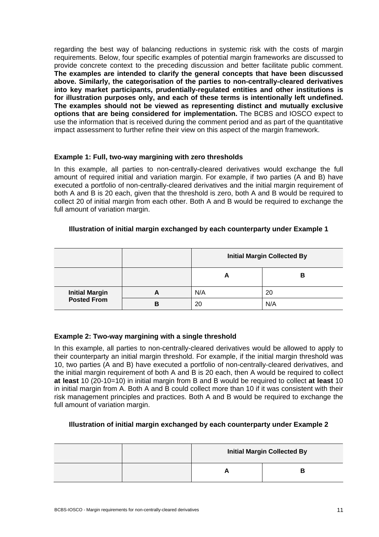regarding the best way of balancing reductions in systemic risk with the costs of margin requirements. Below, four specific examples of potential margin frameworks are discussed to provide concrete context to the preceding discussion and better facilitate public comment. **The examples are intended to clarify the general concepts that have been discussed above. Similarly, the categorisation of the parties to non-centrally-cleared derivatives into key market participants, prudentially-regulated entities and other institutions is for illustration purposes only, and each of these terms is intentionally left undefined. The examples should not be viewed as representing distinct and mutually exclusive options that are being considered for implementation.** The BCBS and IOSCO expect to use the information that is received during the comment period and as part of the quantitative impact assessment to further refine their view on this aspect of the margin framework.

#### **Example 1: Full, two-way margining with zero thresholds**

In this example, all parties to non-centrally-cleared derivatives would exchange the full amount of required initial and variation margin. For example, if two parties (A and B) have executed a portfolio of non-centrally-cleared derivatives and the initial margin requirement of both A and B is 20 each, given that the threshold is zero, both A and B would be required to collect 20 of initial margin from each other. Both A and B would be required to exchange the full amount of variation margin.

#### **Illustration of initial margin exchanged by each counterparty under Example 1**

|                                             |   | <b>Initial Margin Collected By</b> |     |  |
|---------------------------------------------|---|------------------------------------|-----|--|
|                                             |   | A                                  | в   |  |
| <b>Initial Margin</b><br><b>Posted From</b> | А | N/A                                | 20  |  |
|                                             | В | 20                                 | N/A |  |

#### **Example 2: Two-way margining with a single threshold**

In this example, all parties to non-centrally-cleared derivatives would be allowed to apply to their counterparty an initial margin threshold. For example, if the initial margin threshold was 10, two parties (A and B) have executed a portfolio of non-centrally-cleared derivatives, and the initial margin requirement of both A and B is 20 each, then A would be required to collect **at least** 10 (20-10=10) in initial margin from B and B would be required to collect **at least** 10 in initial margin from A. Both A and B could collect more than 10 if it was consistent with their risk management principles and practices. Both A and B would be required to exchange the full amount of variation margin.

#### **Illustration of initial margin exchanged by each counterparty under Example 2**

| <b>Initial Margin Collected By</b> |  |  |
|------------------------------------|--|--|
|                                    |  |  |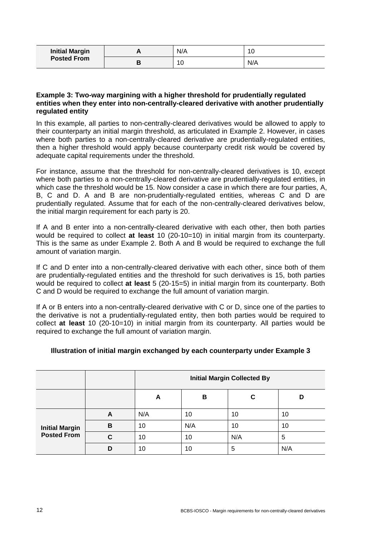| <b>Initial Margin</b><br><b>Posted From</b> | Л | N/A | 10  |
|---------------------------------------------|---|-----|-----|
|                                             | o | í U | N/A |

#### **Example 3: Two-way margining with a higher threshold for prudentially regulated entities when they enter into non-centrally-cleared derivative with another prudentially regulated entity**

In this example, all parties to non-centrally-cleared derivatives would be allowed to apply to their counterparty an initial margin threshold, as articulated in Example 2. However, in cases where both parties to a non-centrally-cleared derivative are prudentially-regulated entities, then a higher threshold would apply because counterparty credit risk would be covered by adequate capital requirements under the threshold.

For instance, assume that the threshold for non-centrally-cleared derivatives is 10, except where both parties to a non-centrally-cleared derivative are prudentially-regulated entities, in which case the threshold would be 15. Now consider a case in which there are four parties, A, B, C and D. A and B are non-prudentially-regulated entities, whereas C and D are prudentially regulated. Assume that for each of the non-centrally-cleared derivatives below, the initial margin requirement for each party is 20.

If A and B enter into a non-centrally-cleared derivative with each other, then both parties would be required to collect **at least** 10 (20-10=10) in initial margin from its counterparty. This is the same as under Example 2. Both A and B would be required to exchange the full amount of variation margin.

If C and D enter into a non-centrally-cleared derivative with each other, since both of them are prudentially-regulated entities and the threshold for such derivatives is 15, both parties would be required to collect **at least** 5 (20-15=5) in initial margin from its counterparty. Both C and D would be required to exchange the full amount of variation margin.

If A or B enters into a non-centrally-cleared derivative with C or D, since one of the parties to the derivative is not a prudentially-regulated entity, then both parties would be required to collect **at least** 10 (20-10=10) in initial margin from its counterparty. All parties would be required to exchange the full amount of variation margin.

#### **Illustration of initial margin exchanged by each counterparty under Example 3**

|                                             |   | <b>Initial Margin Collected By</b> |     |     |     |
|---------------------------------------------|---|------------------------------------|-----|-----|-----|
|                                             |   | в<br>С<br>A                        |     |     |     |
| <b>Initial Margin</b><br><b>Posted From</b> | A | N/A                                | 10  | 10  | 10  |
|                                             | B | 10                                 | N/A | 10  | 10  |
|                                             | C | 10                                 | 10  | N/A | 5   |
|                                             | D | 10                                 | 10  | 5   | N/A |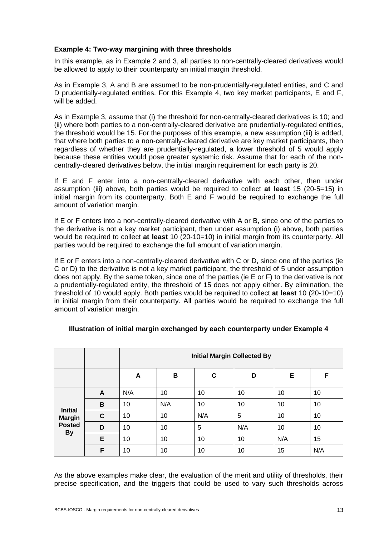#### **Example 4: Two-way margining with three thresholds**

In this example, as in Example 2 and 3, all parties to non-centrally-cleared derivatives would be allowed to apply to their counterparty an initial margin threshold.

As in Example 3, A and B are assumed to be non-prudentially-regulated entities, and C and D prudentially-regulated entities. For this Example 4, two key market participants, E and F, will be added.

As in Example 3, assume that (i) the threshold for non-centrally-cleared derivatives is 10; and (ii) where both parties to a non-centrally-cleared derivative are prudentially-regulated entities, the threshold would be 15. For the purposes of this example, a new assumption (iii) is added, that where both parties to a non-centrally-cleared derivative are key market participants, then regardless of whether they are prudentially-regulated, a lower threshold of 5 would apply because these entities would pose greater systemic risk. Assume that for each of the noncentrally-cleared derivatives below, the initial margin requirement for each party is 20.

If E and F enter into a non-centrally-cleared derivative with each other, then under assumption (iii) above, both parties would be required to collect **at least** 15 (20-5=15) in initial margin from its counterparty. Both E and F would be required to exchange the full amount of variation margin.

If E or F enters into a non-centrally-cleared derivative with A or B, since one of the parties to the derivative is not a key market participant, then under assumption (i) above, both parties would be required to collect **at least** 10 (20-10=10) in initial margin from its counterparty. All parties would be required to exchange the full amount of variation margin.

If E or F enters into a non-centrally-cleared derivative with C or D, since one of the parties (ie C or D) to the derivative is not a key market participant, the threshold of 5 under assumption does not apply. By the same token, since one of the parties (ie E or F) to the derivative is not a prudentially-regulated entity, the threshold of 15 does not apply either. By elimination, the threshold of 10 would apply. Both parties would be required to collect **at least** 10 (20-10=10) in initial margin from their counterparty. All parties would be required to exchange the full amount of variation margin.

|                                                               |   | <b>Initial Margin Collected By</b> |     |     |     |     |     |
|---------------------------------------------------------------|---|------------------------------------|-----|-----|-----|-----|-----|
|                                                               |   | A                                  | B   | C   | D   | E   | F   |
| <b>Initial</b><br><b>Margin</b><br><b>Posted</b><br><b>By</b> | A | N/A                                | 10  | 10  | 10  | 10  | 10  |
|                                                               | B | 10                                 | N/A | 10  | 10  | 10  | 10  |
|                                                               | C | 10                                 | 10  | N/A | 5   | 10  | 10  |
|                                                               | D | 10                                 | 10  | 5   | N/A | 10  | 10  |
|                                                               | E | 10                                 | 10  | 10  | 10  | N/A | 15  |
|                                                               | F | 10                                 | 10  | 10  | 10  | 15  | N/A |

#### **Illustration of initial margin exchanged by each counterparty under Example 4**

As the above examples make clear, the evaluation of the merit and utility of thresholds, their precise specification, and the triggers that could be used to vary such thresholds across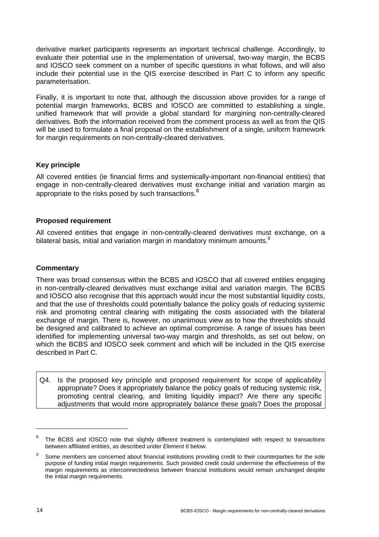derivative market participants represents an important technical challenge. Accordingly, to evaluate their potential use in the implementation of universal, two-way margin, the BCBS and IOSCO seek comment on a number of specific questions in what follows, and will also include their potential use in the QIS exercise described in Part C to inform any specific parameterisation.

Finally, it is important to note that, although the discussion above provides for a range of potential margin frameworks, BCBS and IOSCO are committed to establishing a single, unified framework that will provide a global standard for margining non-centrally-cleared derivatives. Both the information received from the comment process as well as from the QIS will be used to formulate a final proposal on the establishment of a single, uniform framework for margin requirements on non-centrally-cleared derivatives.

#### **Key principle**

All covered entities (ie financial firms and systemically-important non-financial entities) that engage in non-centrally-cleared derivatives must exchange initial and variation margin as appropriate to the risks posed by such transactions.<sup>8</sup>

#### **Proposed requirement**

All covered entities that engage in non-centrally-cleared derivatives must exchange, on a bilateral basis, initial and variation margin in mandatory minimum amounts.<sup>9</sup>

#### **Commentary**

There was broad consensus within the BCBS and IOSCO that all covered entities engaging in non-centrally-cleared derivatives must exchange initial and variation margin. The BCBS and IOSCO also recognise that this approach would incur the most substantial liquidity costs, and that the use of thresholds could potentially balance the policy goals of reducing systemic risk and promoting central clearing with mitigating the costs associated with the bilateral exchange of margin. There is, however, no unanimous view as to how the thresholds should be designed and calibrated to achieve an optimal compromise. A range of issues has been identified for implementing universal two-way margin and thresholds, as set out below, on which the BCBS and IOSCO seek comment and which will be included in the QIS exercise described in Part C.

Q4. Is the proposed key principle and proposed requirement for scope of applicability appropriate? Does it appropriately balance the policy goals of reducing systemic risk, promoting central clearing, and limiting liquidity impact? Are there any specific adjustments that would more appropriately balance these goals? Does the proposal

<sup>8</sup> The BCBS and IOSCO note that slightly different treatment is contemplated with respect to transactions between affiliated entities, as described under *Element 6* below.

<sup>9</sup> Some members are concerned about financial institutions providing credit to their counterparties for the sole purpose of funding initial margin requirements. Such provided credit could undermine the effectiveness of the margin requirements as interconnectedness between financial institutions would remain unchanged despite the initial margin requirements.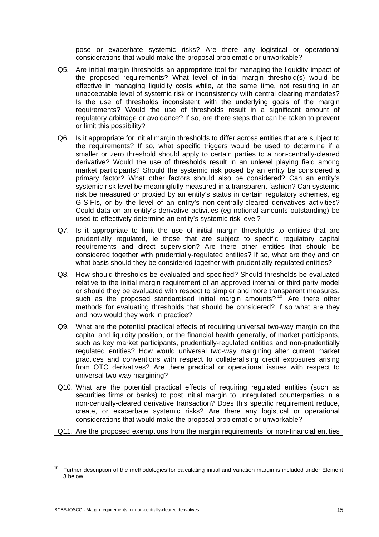pose or exacerbate systemic risks? Are there any logistical or operational considerations that would make the proposal problematic or unworkable?

- Q5. Are initial margin thresholds an appropriate tool for managing the liquidity impact of the proposed requirements? What level of initial margin threshold(s) would be effective in managing liquidity costs while, at the same time, not resulting in an unacceptable level of systemic risk or inconsistency with central clearing mandates? Is the use of thresholds inconsistent with the underlying goals of the margin requirements? Would the use of thresholds result in a significant amount of regulatory arbitrage or avoidance? If so, are there steps that can be taken to prevent or limit this possibility?
- Q6. Is it appropriate for initial margin thresholds to differ across entities that are subject to the requirements? If so, what specific triggers would be used to determine if a smaller or zero threshold should apply to certain parties to a non-centrally-cleared derivative? Would the use of thresholds result in an unlevel playing field among market participants? Should the systemic risk posed by an entity be considered a primary factor? What other factors should also be considered? Can an entity's systemic risk level be meaningfully measured in a transparent fashion? Can systemic risk be measured or proxied by an entity's status in certain regulatory schemes, eg G-SIFIs, or by the level of an entity's non-centrally-cleared derivatives activities? Could data on an entity's derivative activities (eg notional amounts outstanding) be used to effectively determine an entity's systemic risk level?
- Q7. Is it appropriate to limit the use of initial margin thresholds to entities that are prudentially regulated, ie those that are subject to specific regulatory capital requirements and direct supervision? Are there other entities that should be considered together with prudentially-regulated entities? If so, what are they and on what basis should they be considered together with prudentially-regulated entities?
- Q8. How should thresholds be evaluated and specified? Should thresholds be evaluated relative to the initial margin requirement of an approved internal or third party model or should they be evaluated with respect to simpler and more transparent measures, such as the proposed standardised initial margin amounts?<sup>10</sup> Are there other methods for evaluating thresholds that should be considered? If so what are they and how would they work in practice?
- Q9. What are the potential practical effects of requiring universal two-way margin on the capital and liquidity position, or the financial health generally, of market participants, such as key market participants, prudentially-regulated entities and non-prudentially regulated entities? How would universal two-way margining alter current market practices and conventions with respect to collateralising credit exposures arising from OTC derivatives? Are there practical or operational issues with respect to universal two-way margining?
- Q10. What are the potential practical effects of requiring regulated entities (such as securities firms or banks) to post initial margin to unregulated counterparties in a non-centrally-cleared derivative transaction? Does this specific requirement reduce, create, or exacerbate systemic risks? Are there any logistical or operational considerations that would make the proposal problematic or unworkable?

Q11. Are the proposed exemptions from the margin requirements for non-financial entities

 $\overline{a}$ 

 $10$  Further description of the methodologies for calculating initial and variation margin is included under Element 3 below.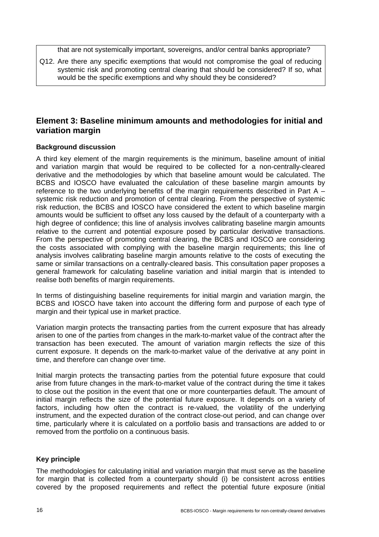that are not systemically important, sovereigns, and/or central banks appropriate?

Q12. Are there any specific exemptions that would not compromise the goal of reducing systemic risk and promoting central clearing that should be considered? If so, what would be the specific exemptions and why should they be considered?

## **Element 3: Baseline minimum amounts and methodologies for initial and variation margin**

#### **Background discussion**

A third key element of the margin requirements is the minimum, baseline amount of initial and variation margin that would be required to be collected for a non-centrally-cleared derivative and the methodologies by which that baseline amount would be calculated. The BCBS and IOSCO have evaluated the calculation of these baseline margin amounts by reference to the two underlying benefits of the margin requirements described in Part A – systemic risk reduction and promotion of central clearing. From the perspective of systemic risk reduction, the BCBS and IOSCO have considered the extent to which baseline margin amounts would be sufficient to offset any loss caused by the default of a counterparty with a high degree of confidence; this line of analysis involves calibrating baseline margin amounts relative to the current and potential exposure posed by particular derivative transactions. From the perspective of promoting central clearing, the BCBS and IOSCO are considering the costs associated with complying with the baseline margin requirements; this line of analysis involves calibrating baseline margin amounts relative to the costs of executing the same or similar transactions on a centrally-cleared basis. This consultation paper proposes a general framework for calculating baseline variation and initial margin that is intended to realise both benefits of margin requirements.

In terms of distinguishing baseline requirements for initial margin and variation margin, the BCBS and IOSCO have taken into account the differing form and purpose of each type of margin and their typical use in market practice.

Variation margin protects the transacting parties from the current exposure that has already arisen to one of the parties from changes in the mark-to-market value of the contract after the transaction has been executed. The amount of variation margin reflects the size of this current exposure. It depends on the mark-to-market value of the derivative at any point in time, and therefore can change over time.

Initial margin protects the transacting parties from the potential future exposure that could arise from future changes in the mark-to-market value of the contract during the time it takes to close out the position in the event that one or more counterparties default. The amount of initial margin reflects the size of the potential future exposure. It depends on a variety of factors, including how often the contract is re-valued, the volatility of the underlying instrument, and the expected duration of the contract close-out period, and can change over time, particularly where it is calculated on a portfolio basis and transactions are added to or removed from the portfolio on a continuous basis.

#### **Key principle**

The methodologies for calculating initial and variation margin that must serve as the baseline for margin that is collected from a counterparty should (i) be consistent across entities covered by the proposed requirements and reflect the potential future exposure (initial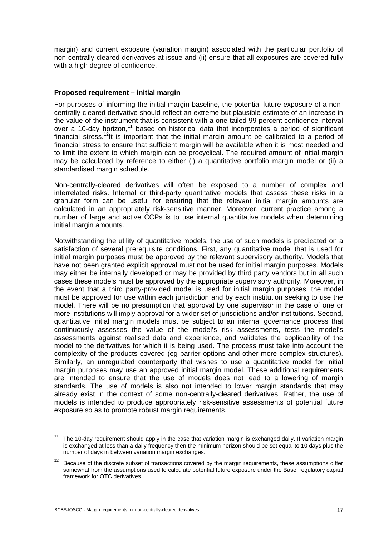margin) and current exposure (variation margin) associated with the particular portfolio of non-centrally-cleared derivatives at issue and (ii) ensure that all exposures are covered fully with a high degree of confidence.

#### **Proposed requirement – initial margin**

For purposes of informing the initial margin baseline, the potential future exposure of a noncentrally-cleared derivative should reflect an extreme but plausible estimate of an increase in the value of the instrument that is consistent with a one-tailed 99 percent confidence interval over a 10-day horizon,<sup>11</sup> based on historical data that incorporates a period of significant financial stress.<sup>12</sup>It is important that the initial margin amount be calibrated to a period of financial stress to ensure that sufficient margin will be available when it is most needed and to limit the extent to which margin can be procyclical. The required amount of initial margin may be calculated by reference to either (i) a quantitative portfolio margin model or (ii) a standardised margin schedule.

Non-centrally-cleared derivatives will often be exposed to a number of complex and interrelated risks. Internal or third-party quantitative models that assess these risks in a granular form can be useful for ensuring that the relevant initial margin amounts are calculated in an appropriately risk-sensitive manner. Moreover, current practice among a number of large and active CCPs is to use internal quantitative models when determining initial margin amounts.

Notwithstanding the utility of quantitative models, the use of such models is predicated on a satisfaction of several prerequisite conditions. First, any quantitative model that is used for initial margin purposes must be approved by the relevant supervisory authority. Models that have not been granted explicit approval must not be used for initial margin purposes. Models may either be internally developed or may be provided by third party vendors but in all such cases these models must be approved by the appropriate supervisory authority. Moreover, in the event that a third party-provided model is used for initial margin purposes, the model must be approved for use within each jurisdiction and by each institution seeking to use the model. There will be no presumption that approval by one supervisor in the case of one or more institutions will imply approval for a wider set of jurisdictions and/or institutions. Second, quantitative initial margin models must be subject to an internal governance process that continuously assesses the value of the model's risk assessments, tests the model's assessments against realised data and experience, and validates the applicability of the model to the derivatives for which it is being used. The process must take into account the complexity of the products covered (eg barrier options and other more complex structures). Similarly, an unregulated counterparty that wishes to use a quantitative model for initial margin purposes may use an approved initial margin model. These additional requirements are intended to ensure that the use of models does not lead to a lowering of margin standards. The use of models is also not intended to lower margin standards that may already exist in the context of some non-centrally-cleared derivatives. Rather, the use of models is intended to produce appropriately risk-sensitive assessments of potential future exposure so as to promote robust margin requirements.

 $11$  The 10-day requirement should apply in the case that variation margin is exchanged daily. If variation margin is exchanged at less than a daily frequency then the minimum horizon should be set equal to 10 days plus the number of days in between variation margin exchanges.

 $12$  Because of the discrete subset of transactions covered by the margin requirements, these assumptions differ somewhat from the assumptions used to calculate potential future exposure under the Basel regulatory capital framework for OTC derivatives.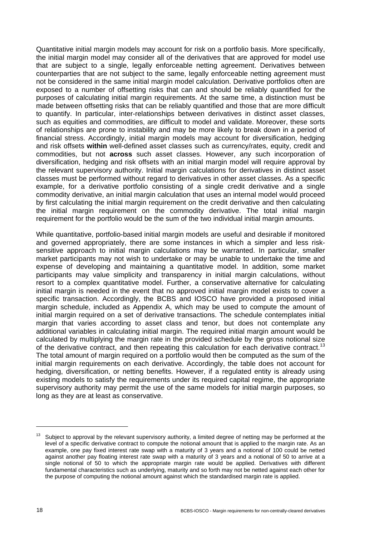Quantitative initial margin models may account for risk on a portfolio basis. More specifically, the initial margin model may consider all of the derivatives that are approved for model use that are subject to a single, legally enforceable netting agreement. Derivatives between counterparties that are not subject to the same, legally enforceable netting agreement must not be considered in the same initial margin model calculation. Derivative portfolios often are exposed to a number of offsetting risks that can and should be reliably quantified for the purposes of calculating initial margin requirements. At the same time, a distinction must be made between offsetting risks that can be reliably quantified and those that are more difficult to quantify. In particular, inter-relationships between derivatives in distinct asset classes, such as equities and commodities, are difficult to model and validate. Moreover, these sorts of relationships are prone to instability and may be more likely to break down in a period of financial stress. Accordingly, initial margin models may account for diversification, hedging and risk offsets **within** well-defined asset classes such as currency/rates, equity, credit and commodities, but not **across** such asset classes. However, any such incorporation of diversification, hedging and risk offsets with an initial margin model will require approval by the relevant supervisory authority. Initial margin calculations for derivatives in distinct asset classes must be performed without regard to derivatives in other asset classes. As a specific example, for a derivative portfolio consisting of a single credit derivative and a single commodity derivative, an initial margin calculation that uses an internal model would proceed by first calculating the initial margin requirement on the credit derivative and then calculating the initial margin requirement on the commodity derivative. The total initial margin requirement for the portfolio would be the sum of the two individual initial margin amounts.

While quantitative, portfolio-based initial margin models are useful and desirable if monitored and governed appropriately, there are some instances in which a simpler and less risksensitive approach to initial margin calculations may be warranted. In particular, smaller market participants may not wish to undertake or may be unable to undertake the time and expense of developing and maintaining a quantitative model. In addition, some market participants may value simplicity and transparency in initial margin calculations, without resort to a complex quantitative model. Further, a conservative alternative for calculating initial margin is needed in the event that no approved initial margin model exists to cover a specific transaction. Accordingly, the BCBS and IOSCO have provided a proposed initial margin schedule, included as Appendix A, which may be used to compute the amount of initial margin required on a set of derivative transactions. The schedule contemplates initial margin that varies according to asset class and tenor, but does not contemplate any additional variables in calculating initial margin. The required initial margin amount would be calculated by multiplying the margin rate in the provided schedule by the gross notional size of the derivative contract, and then repeating this calculation for each derivative contract.<sup>13</sup> The total amount of margin required on a portfolio would then be computed as the sum of the initial margin requirements on each derivative. Accordingly, the table does not account for hedging, diversification, or netting benefits. However, if a regulated entity is already using existing models to satisfy the requirements under its required capital regime, the appropriate supervisory authority may permit the use of the same models for initial margin purposes, so long as they are at least as conservative.

Subject to approval by the relevant supervisory authority, a limited degree of netting may be performed at the level of a specific derivative contract to compute the notional amount that is applied to the margin rate. As an example, one pay fixed interest rate swap with a maturity of 3 years and a notional of 100 could be netted against another pay floating interest rate swap with a maturity of 3 years and a notional of 50 to arrive at a single notional of 50 to which the appropriate margin rate would be applied. Derivatives with different fundamental characteristics such as underlying, maturity and so forth may not be netted against each other for the purpose of computing the notional amount against which the standardised margin rate is applied.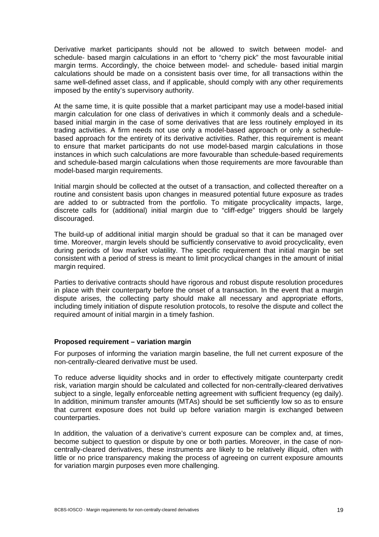Derivative market participants should not be allowed to switch between model- and schedule- based margin calculations in an effort to "cherry pick" the most favourable initial margin terms. Accordingly, the choice between model- and schedule- based initial margin calculations should be made on a consistent basis over time, for all transactions within the same well-defined asset class, and if applicable, should comply with any other requirements imposed by the entity's supervisory authority.

At the same time, it is quite possible that a market participant may use a model-based initial margin calculation for one class of derivatives in which it commonly deals and a schedulebased initial margin in the case of some derivatives that are less routinely employed in its trading activities. A firm needs not use only a model-based approach or only a schedulebased approach for the entirety of its derivative activities. Rather, this requirement is meant to ensure that market participants do not use model-based margin calculations in those instances in which such calculations are more favourable than schedule-based requirements and schedule-based margin calculations when those requirements are more favourable than model-based margin requirements.

Initial margin should be collected at the outset of a transaction, and collected thereafter on a routine and consistent basis upon changes in measured potential future exposure as trades are added to or subtracted from the portfolio. To mitigate procyclicality impacts, large, discrete calls for (additional) initial margin due to "cliff-edge" triggers should be largely discouraged.

The build-up of additional initial margin should be gradual so that it can be managed over time. Moreover, margin levels should be sufficiently conservative to avoid procyclicality, even during periods of low market volatility. The specific requirement that initial margin be set consistent with a period of stress is meant to limit procyclical changes in the amount of initial margin required.

Parties to derivative contracts should have rigorous and robust dispute resolution procedures in place with their counterparty before the onset of a transaction. In the event that a margin dispute arises, the collecting party should make all necessary and appropriate efforts, including timely initiation of dispute resolution protocols, to resolve the dispute and collect the required amount of initial margin in a timely fashion.

#### **Proposed requirement – variation margin**

For purposes of informing the variation margin baseline, the full net current exposure of the non-centrally-cleared derivative must be used.

To reduce adverse liquidity shocks and in order to effectively mitigate counterparty credit risk, variation margin should be calculated and collected for non-centrally-cleared derivatives subject to a single, legally enforceable netting agreement with sufficient frequency (eg daily). In addition, minimum transfer amounts (MTAs) should be set sufficiently low so as to ensure that current exposure does not build up before variation margin is exchanged between counterparties.

In addition, the valuation of a derivative's current exposure can be complex and, at times, become subject to question or dispute by one or both parties. Moreover, in the case of noncentrally-cleared derivatives, these instruments are likely to be relatively illiquid, often with little or no price transparency making the process of agreeing on current exposure amounts for variation margin purposes even more challenging.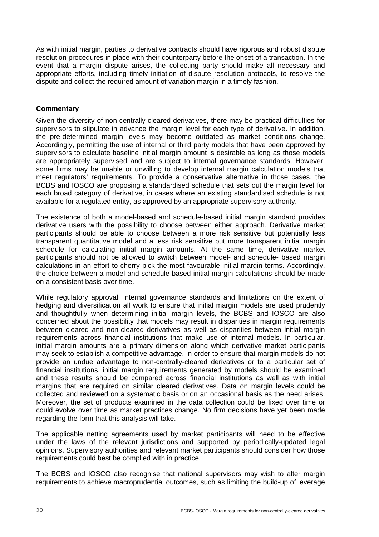As with initial margin, parties to derivative contracts should have rigorous and robust dispute resolution procedures in place with their counterparty before the onset of a transaction. In the event that a margin dispute arises, the collecting party should make all necessary and appropriate efforts, including timely initiation of dispute resolution protocols, to resolve the dispute and collect the required amount of variation margin in a timely fashion.

#### **Commentary**

Given the diversity of non-centrally-cleared derivatives, there may be practical difficulties for supervisors to stipulate in advance the margin level for each type of derivative. In addition, the pre-determined margin levels may become outdated as market conditions change. Accordingly, permitting the use of internal or third party models that have been approved by supervisors to calculate baseline initial margin amount is desirable as long as those models are appropriately supervised and are subject to internal governance standards. However, some firms may be unable or unwilling to develop internal margin calculation models that meet regulators' requirements. To provide a conservative alternative in those cases, the BCBS and IOSCO are proposing a standardised schedule that sets out the margin level for each broad category of derivative, in cases where an existing standardised schedule is not available for a regulated entity, as approved by an appropriate supervisory authority.

The existence of both a model-based and schedule-based initial margin standard provides derivative users with the possibility to choose between either approach. Derivative market participants should be able to choose between a more risk sensitive but potentially less transparent quantitative model and a less risk sensitive but more transparent initial margin schedule for calculating initial margin amounts. At the same time, derivative market participants should not be allowed to switch between model- and schedule- based margin calculations in an effort to cherry pick the most favourable initial margin terms. Accordingly, the choice between a model and schedule based initial margin calculations should be made on a consistent basis over time.

While regulatory approval, internal governance standards and limitations on the extent of hedging and diversification all work to ensure that initial margin models are used prudently and thoughtfully when determining initial margin levels, the BCBS and IOSCO are also concerned about the possibility that models may result in disparities in margin requirements between cleared and non-cleared derivatives as well as disparities between initial margin requirements across financial institutions that make use of internal models. In particular, initial margin amounts are a primary dimension along which derivative market participants may seek to establish a competitive advantage. In order to ensure that margin models do not provide an undue advantage to non-centrally-cleared derivatives or to a particular set of financial institutions, initial margin requirements generated by models should be examined and these results should be compared across financial institutions as well as with initial margins that are required on similar cleared derivatives. Data on margin levels could be collected and reviewed on a systematic basis or on an occasional basis as the need arises. Moreover, the set of products examined in the data collection could be fixed over time or could evolve over time as market practices change. No firm decisions have yet been made regarding the form that this analysis will take.

The applicable netting agreements used by market participants will need to be effective under the laws of the relevant jurisdictions and supported by periodically-updated legal opinions. Supervisory authorities and relevant market participants should consider how those requirements could best be complied with in practice.

The BCBS and IOSCO also recognise that national supervisors may wish to alter margin requirements to achieve macroprudential outcomes, such as limiting the build-up of leverage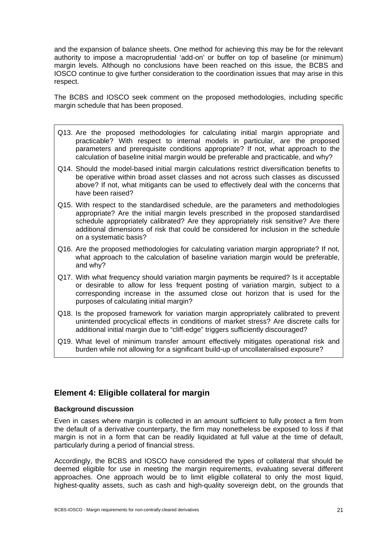and the expansion of balance sheets. One method for achieving this may be for the relevant authority to impose a macroprudential 'add-on' or buffer on top of baseline (or minimum) margin levels. Although no conclusions have been reached on this issue, the BCBS and IOSCO continue to give further consideration to the coordination issues that may arise in this respect.

The BCBS and IOSCO seek comment on the proposed methodologies, including specific margin schedule that has been proposed.

- Q13. Are the proposed methodologies for calculating initial margin appropriate and practicable? With respect to internal models in particular, are the proposed parameters and prerequisite conditions appropriate? If not, what approach to the calculation of baseline initial margin would be preferable and practicable, and why?
- Q14. Should the model-based initial margin calculations restrict diversification benefits to be operative within broad asset classes and not across such classes as discussed above? If not, what mitigants can be used to effectively deal with the concerns that have been raised?
- Q15. With respect to the standardised schedule, are the parameters and methodologies appropriate? Are the initial margin levels prescribed in the proposed standardised schedule appropriately calibrated? Are they appropriately risk sensitive? Are there additional dimensions of risk that could be considered for inclusion in the schedule on a systematic basis?
- Q16. Are the proposed methodologies for calculating variation margin appropriate? If not, what approach to the calculation of baseline variation margin would be preferable, and why?
- Q17. With what frequency should variation margin payments be required? Is it acceptable or desirable to allow for less frequent posting of variation margin, subject to a corresponding increase in the assumed close out horizon that is used for the purposes of calculating initial margin?
- Q18. Is the proposed framework for variation margin appropriately calibrated to prevent unintended procyclical effects in conditions of market stress? Are discrete calls for additional initial margin due to "cliff-edge" triggers sufficiently discouraged?
- Q19. What level of minimum transfer amount effectively mitigates operational risk and burden while not allowing for a significant build-up of uncollateralised exposure?

## **Element 4: Eligible collateral for margin**

#### **Background discussion**

Even in cases where margin is collected in an amount sufficient to fully protect a firm from the default of a derivative counterparty, the firm may nonetheless be exposed to loss if that margin is not in a form that can be readily liquidated at full value at the time of default, particularly during a period of financial stress.

Accordingly, the BCBS and IOSCO have considered the types of collateral that should be deemed eligible for use in meeting the margin requirements, evaluating several different approaches. One approach would be to limit eligible collateral to only the most liquid, highest-quality assets, such as cash and high-quality sovereign debt, on the grounds that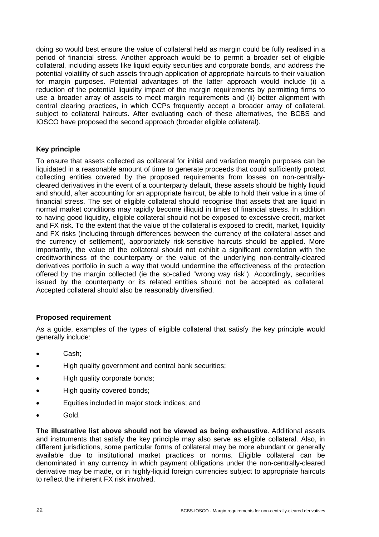doing so would best ensure the value of collateral held as margin could be fully realised in a period of financial stress. Another approach would be to permit a broader set of eligible collateral, including assets like liquid equity securities and corporate bonds, and address the potential volatility of such assets through application of appropriate haircuts to their valuation for margin purposes. Potential advantages of the latter approach would include (i) a reduction of the potential liquidity impact of the margin requirements by permitting firms to use a broader array of assets to meet margin requirements and (ii) better alignment with central clearing practices, in which CCPs frequently accept a broader array of collateral, subject to collateral haircuts. After evaluating each of these alternatives, the BCBS and IOSCO have proposed the second approach (broader eligible collateral).

#### **Key principle**

To ensure that assets collected as collateral for initial and variation margin purposes can be liquidated in a reasonable amount of time to generate proceeds that could sufficiently protect collecting entities covered by the proposed requirements from losses on non-centrallycleared derivatives in the event of a counterparty default, these assets should be highly liquid and should, after accounting for an appropriate haircut, be able to hold their value in a time of financial stress. The set of eligible collateral should recognise that assets that are liquid in normal market conditions may rapidly become illiquid in times of financial stress. In addition to having good liquidity, eligible collateral should not be exposed to excessive credit, market and FX risk. To the extent that the value of the collateral is exposed to credit, market, liquidity and FX risks (including through differences between the currency of the collateral asset and the currency of settlement), appropriately risk-sensitive haircuts should be applied. More importantly, the value of the collateral should not exhibit a significant correlation with the creditworthiness of the counterparty or the value of the underlying non-centrally-cleared derivatives portfolio in such a way that would undermine the effectiveness of the protection offered by the margin collected (ie the so-called "wrong way risk"). Accordingly, securities issued by the counterparty or its related entities should not be accepted as collateral. Accepted collateral should also be reasonably diversified.

#### **Proposed requirement**

As a guide, examples of the types of eligible collateral that satisfy the key principle would generally include:

- Cash;
- High quality government and central bank securities;
- High quality corporate bonds;
- High quality covered bonds;
- Equities included in major stock indices; and
- Gold.

**The illustrative list above should not be viewed as being exhaustive**. Additional assets and instruments that satisfy the key principle may also serve as eligible collateral. Also, in different jurisdictions, some particular forms of collateral may be more abundant or generally available due to institutional market practices or norms. Eligible collateral can be denominated in any currency in which payment obligations under the non-centrally-cleared derivative may be made, or in highly-liquid foreign currencies subject to appropriate haircuts to reflect the inherent FX risk involved.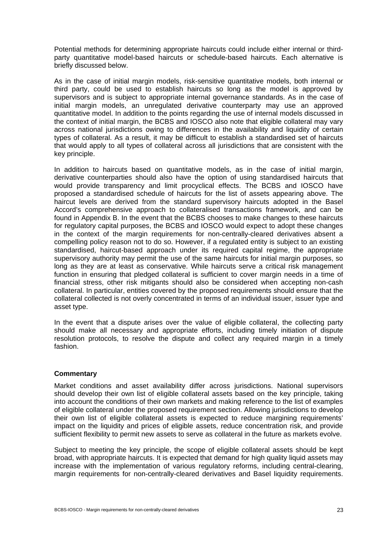Potential methods for determining appropriate haircuts could include either internal or thirdparty quantitative model-based haircuts or schedule-based haircuts. Each alternative is briefly discussed below.

As in the case of initial margin models, risk-sensitive quantitative models, both internal or third party, could be used to establish haircuts so long as the model is approved by supervisors and is subject to appropriate internal governance standards. As in the case of initial margin models, an unregulated derivative counterparty may use an approved quantitative model. In addition to the points regarding the use of internal models discussed in the context of initial margin, the BCBS and IOSCO also note that eligible collateral may vary across national jurisdictions owing to differences in the availability and liquidity of certain types of collateral. As a result, it may be difficult to establish a standardised set of haircuts that would apply to all types of collateral across all jurisdictions that are consistent with the key principle.

In addition to haircuts based on quantitative models, as in the case of initial margin, derivative counterparties should also have the option of using standardised haircuts that would provide transparency and limit procyclical effects. The BCBS and IOSCO have proposed a standardised schedule of haircuts for the list of assets appearing above. The haircut levels are derived from the standard supervisory haircuts adopted in the Basel Accord's comprehensive approach to collateralised transactions framework, and can be found in Appendix B. In the event that the BCBS chooses to make changes to these haircuts for regulatory capital purposes, the BCBS and IOSCO would expect to adopt these changes in the context of the margin requirements for non-centrally-cleared derivatives absent a compelling policy reason not to do so. However, if a regulated entity is subject to an existing standardised, haircut-based approach under its required capital regime, the appropriate supervisory authority may permit the use of the same haircuts for initial margin purposes, so long as they are at least as conservative. While haircuts serve a critical risk management function in ensuring that pledged collateral is sufficient to cover margin needs in a time of financial stress, other risk mitigants should also be considered when accepting non-cash collateral. In particular, entities covered by the proposed requirements should ensure that the collateral collected is not overly concentrated in terms of an individual issuer, issuer type and asset type.

In the event that a dispute arises over the value of eligible collateral, the collecting party should make all necessary and appropriate efforts, including timely initiation of dispute resolution protocols, to resolve the dispute and collect any required margin in a timely fashion.

#### **Commentary**

Market conditions and asset availability differ across jurisdictions. National supervisors should develop their own list of eligible collateral assets based on the key principle, taking into account the conditions of their own markets and making reference to the list of examples of eligible collateral under the proposed requirement section. Allowing jurisdictions to develop their own list of eligible collateral assets is expected to reduce margining requirements' impact on the liquidity and prices of eligible assets, reduce concentration risk, and provide sufficient flexibility to permit new assets to serve as collateral in the future as markets evolve.

Subject to meeting the key principle, the scope of eligible collateral assets should be kept broad, with appropriate haircuts. It is expected that demand for high quality liquid assets may increase with the implementation of various regulatory reforms, including central-clearing, margin requirements for non-centrally-cleared derivatives and Basel liquidity requirements.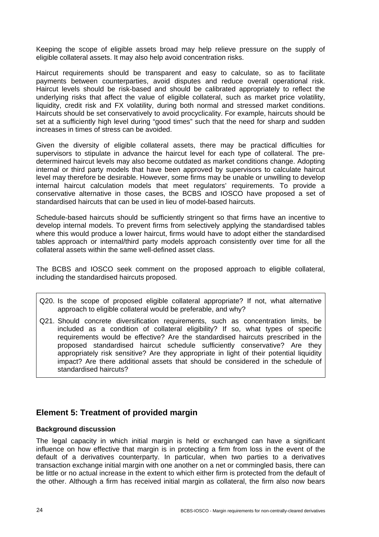Keeping the scope of eligible assets broad may help relieve pressure on the supply of eligible collateral assets. It may also help avoid concentration risks.

Haircut requirements should be transparent and easy to calculate, so as to facilitate payments between counterparties, avoid disputes and reduce overall operational risk. Haircut levels should be risk-based and should be calibrated appropriately to reflect the underlying risks that affect the value of eligible collateral, such as market price volatility, liquidity, credit risk and FX volatility, during both normal and stressed market conditions. Haircuts should be set conservatively to avoid procyclicality. For example, haircuts should be set at a sufficiently high level during "good times" such that the need for sharp and sudden increases in times of stress can be avoided.

Given the diversity of eligible collateral assets, there may be practical difficulties for supervisors to stipulate in advance the haircut level for each type of collateral. The predetermined haircut levels may also become outdated as market conditions change. Adopting internal or third party models that have been approved by supervisors to calculate haircut level may therefore be desirable. However, some firms may be unable or unwilling to develop internal haircut calculation models that meet regulators' requirements. To provide a conservative alternative in those cases, the BCBS and IOSCO have proposed a set of standardised haircuts that can be used in lieu of model-based haircuts.

Schedule-based haircuts should be sufficiently stringent so that firms have an incentive to develop internal models. To prevent firms from selectively applying the standardised tables where this would produce a lower haircut, firms would have to adopt either the standardised tables approach or internal/third party models approach consistently over time for all the collateral assets within the same well-defined asset class.

The BCBS and IOSCO seek comment on the proposed approach to eligible collateral, including the standardised haircuts proposed.

- Q20. Is the scope of proposed eligible collateral appropriate? If not, what alternative approach to eligible collateral would be preferable, and why?
- Q21. Should concrete diversification requirements, such as concentration limits, be included as a condition of collateral eligibility? If so, what types of specific requirements would be effective? Are the standardised haircuts prescribed in the proposed standardised haircut schedule sufficiently conservative? Are they appropriately risk sensitive? Are they appropriate in light of their potential liquidity impact? Are there additional assets that should be considered in the schedule of standardised haircuts?

## **Element 5: Treatment of provided margin**

#### **Background discussion**

The legal capacity in which initial margin is held or exchanged can have a significant influence on how effective that margin is in protecting a firm from loss in the event of the default of a derivatives counterparty. In particular, when two parties to a derivatives transaction exchange initial margin with one another on a net or commingled basis, there can be little or no actual increase in the extent to which either firm is protected from the default of the other. Although a firm has received initial margin as collateral, the firm also now bears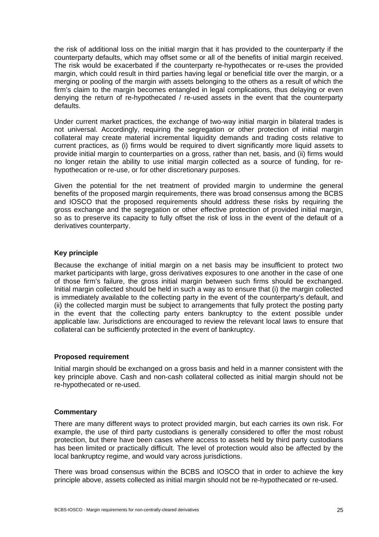the risk of additional loss on the initial margin that it has provided to the counterparty if the counterparty defaults, which may offset some or all of the benefits of initial margin received. The risk would be exacerbated if the counterparty re-hypothecates or re-uses the provided margin, which could result in third parties having legal or beneficial title over the margin, or a merging or pooling of the margin with assets belonging to the others as a result of which the firm's claim to the margin becomes entangled in legal complications, thus delaying or even denying the return of re-hypothecated / re-used assets in the event that the counterparty defaults.

Under current market practices, the exchange of two-way initial margin in bilateral trades is not universal. Accordingly, requiring the segregation or other protection of initial margin collateral may create material incremental liquidity demands and trading costs relative to current practices, as (i) firms would be required to divert significantly more liquid assets to provide initial margin to counterparties on a gross, rather than net, basis, and (ii) firms would no longer retain the ability to use initial margin collected as a source of funding, for rehypothecation or re-use, or for other discretionary purposes.

Given the potential for the net treatment of provided margin to undermine the general benefits of the proposed margin requirements, there was broad consensus among the BCBS and IOSCO that the proposed requirements should address these risks by requiring the gross exchange and the segregation or other effective protection of provided initial margin, so as to preserve its capacity to fully offset the risk of loss in the event of the default of a derivatives counterparty.

#### **Key principle**

Because the exchange of initial margin on a net basis may be insufficient to protect two market participants with large, gross derivatives exposures to one another in the case of one of those firm's failure, the gross initial margin between such firms should be exchanged. Initial margin collected should be held in such a way as to ensure that (i) the margin collected is immediately available to the collecting party in the event of the counterparty's default, and (ii) the collected margin must be subject to arrangements that fully protect the posting party in the event that the collecting party enters bankruptcy to the extent possible under applicable law. Jurisdictions are encouraged to review the relevant local laws to ensure that collateral can be sufficiently protected in the event of bankruptcy.

#### **Proposed requirement**

Initial margin should be exchanged on a gross basis and held in a manner consistent with the key principle above. Cash and non-cash collateral collected as initial margin should not be re-hypothecated or re-used.

#### **Commentary**

There are many different ways to protect provided margin, but each carries its own risk. For example, the use of third party custodians is generally considered to offer the most robust protection, but there have been cases where access to assets held by third party custodians has been limited or practically difficult. The level of protection would also be affected by the local bankruptcy regime, and would vary across jurisdictions.

There was broad consensus within the BCBS and IOSCO that in order to achieve the key principle above, assets collected as initial margin should not be re-hypothecated or re-used.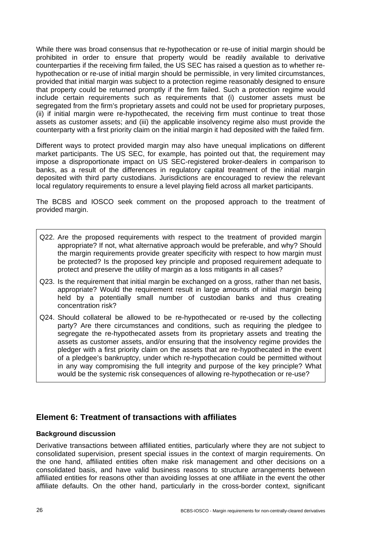While there was broad consensus that re-hypothecation or re-use of initial margin should be prohibited in order to ensure that property would be readily available to derivative counterparties if the receiving firm failed, the US SEC has raised a question as to whether rehypothecation or re-use of initial margin should be permissible, in very limited circumstances, provided that initial margin was subject to a protection regime reasonably designed to ensure that property could be returned promptly if the firm failed. Such a protection regime would include certain requirements such as requirements that (i) customer assets must be segregated from the firm's proprietary assets and could not be used for proprietary purposes, (ii) if initial margin were re-hypothecated, the receiving firm must continue to treat those assets as customer assets; and (iii) the applicable insolvency regime also must provide the counterparty with a first priority claim on the initial margin it had deposited with the failed firm.

Different ways to protect provided margin may also have unequal implications on different market participants. The US SEC, for example, has pointed out that, the requirement may impose a disproportionate impact on US SEC-registered broker-dealers in comparison to banks, as a result of the differences in regulatory capital treatment of the initial margin deposited with third party custodians. Jurisdictions are encouraged to review the relevant local regulatory requirements to ensure a level playing field across all market participants.

The BCBS and IOSCO seek comment on the proposed approach to the treatment of provided margin.

- Q22. Are the proposed requirements with respect to the treatment of provided margin appropriate? If not, what alternative approach would be preferable, and why? Should the margin requirements provide greater specificity with respect to how margin must be protected? Is the proposed key principle and proposed requirement adequate to protect and preserve the utility of margin as a loss mitigants in all cases?
- Q23. Is the requirement that initial margin be exchanged on a gross, rather than net basis, appropriate? Would the requirement result in large amounts of initial margin being held by a potentially small number of custodian banks and thus creating concentration risk?
- Q24. Should collateral be allowed to be re-hypothecated or re-used by the collecting party? Are there circumstances and conditions, such as requiring the pledgee to segregate the re-hypothecated assets from its proprietary assets and treating the assets as customer assets, and/or ensuring that the insolvency regime provides the pledger with a first priority claim on the assets that are re-hypothecated in the event of a pledgee's bankruptcy, under which re-hypothecation could be permitted without in any way compromising the full integrity and purpose of the key principle? What would be the systemic risk consequences of allowing re-hypothecation or re-use?

#### **Element 6: Treatment of transactions with affiliates**

#### **Background discussion**

Derivative transactions between affiliated entities, particularly where they are not subject to consolidated supervision, present special issues in the context of margin requirements. On the one hand, affiliated entities often make risk management and other decisions on a consolidated basis, and have valid business reasons to structure arrangements between affiliated entities for reasons other than avoiding losses at one affiliate in the event the other affiliate defaults. On the other hand, particularly in the cross-border context, significant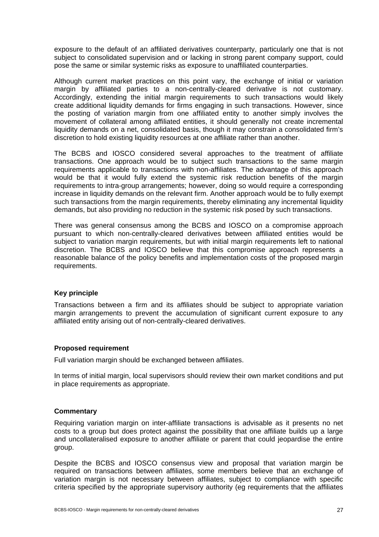exposure to the default of an affiliated derivatives counterparty, particularly one that is not subject to consolidated supervision and or lacking in strong parent company support, could pose the same or similar systemic risks as exposure to unaffiliated counterparties.

Although current market practices on this point vary, the exchange of initial or variation margin by affiliated parties to a non-centrally-cleared derivative is not customary. Accordingly, extending the initial margin requirements to such transactions would likely create additional liquidity demands for firms engaging in such transactions. However, since the posting of variation margin from one affiliated entity to another simply involves the movement of collateral among affiliated entities, it should generally not create incremental liquidity demands on a net, consolidated basis, though it may constrain a consolidated firm's discretion to hold existing liquidity resources at one affiliate rather than another.

The BCBS and IOSCO considered several approaches to the treatment of affiliate transactions. One approach would be to subject such transactions to the same margin requirements applicable to transactions with non-affiliates. The advantage of this approach would be that it would fully extend the systemic risk reduction benefits of the margin requirements to intra-group arrangements; however, doing so would require a corresponding increase in liquidity demands on the relevant firm. Another approach would be to fully exempt such transactions from the margin requirements, thereby eliminating any incremental liquidity demands, but also providing no reduction in the systemic risk posed by such transactions.

There was general consensus among the BCBS and IOSCO on a compromise approach pursuant to which non-centrally-cleared derivatives between affiliated entities would be subject to variation margin requirements, but with initial margin requirements left to national discretion. The BCBS and IOSCO believe that this compromise approach represents a reasonable balance of the policy benefits and implementation costs of the proposed margin requirements.

#### **Key principle**

Transactions between a firm and its affiliates should be subject to appropriate variation margin arrangements to prevent the accumulation of significant current exposure to any affiliated entity arising out of non-centrally-cleared derivatives.

#### **Proposed requirement**

Full variation margin should be exchanged between affiliates.

In terms of initial margin, local supervisors should review their own market conditions and put in place requirements as appropriate.

#### **Commentary**

Requiring variation margin on inter-affiliate transactions is advisable as it presents no net costs to a group but does protect against the possibility that one affiliate builds up a large and uncollateralised exposure to another affiliate or parent that could jeopardise the entire group.

Despite the BCBS and IOSCO consensus view and proposal that variation margin be required on transactions between affiliates, some members believe that an exchange of variation margin is not necessary between affiliates, subject to compliance with specific criteria specified by the appropriate supervisory authority (eg requirements that the affiliates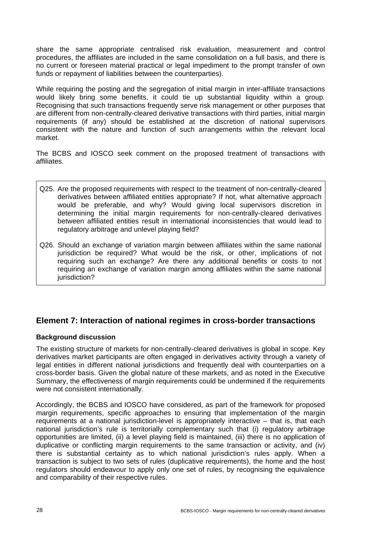share the same appropriate centralised risk evaluation, measurement and control procedures, the affiliates are included in the same consolidation on a full basis, and there is no current or foreseen material practical or legal impediment to the prompt transfer of own funds or repayment of liabilities between the counterparties).

While requiring the posting and the segregation of initial margin in inter-affiliate transactions would likely bring some benefits, it could tie up substantial liquidity within a group. Recognising that such transactions frequently serve risk management or other purposes that are different from non-centrally-cleared derivative transactions with third parties, initial margin requirements (if any) should be established at the discretion of national supervisors consistent with the nature and function of such arrangements within the relevant local market.

The BCBS and IOSCO seek comment on the proposed treatment of transactions with affiliates.

- Q25. Are the proposed requirements with respect to the treatment of non-centrally-cleared derivatives between affiliated entities appropriate? If not, what alternative approach would be preferable, and why? Would giving local supervisors discretion in determining the initial margin requirements for non-centrally-cleared derivatives between affiliated entities result in international inconsistencies that would lead to regulatory arbitrage and unlevel playing field?
- Q26. Should an exchange of variation margin between affiliates within the same national jurisdiction be required? What would be the risk, or other, implications of not requiring such an exchange? Are there any additional benefits or costs to not requiring an exchange of variation margin among affiliates within the same national jurisdiction?

## **Element 7: Interaction of national regimes in cross-border transactions**

#### **Background discussion**

The existing structure of markets for non-centrally-cleared derivatives is global in scope. Key derivatives market participants are often engaged in derivatives activity through a variety of legal entities in different national jurisdictions and frequently deal with counterparties on a cross-border basis. Given the global nature of these markets, and as noted in the Executive Summary, the effectiveness of margin requirements could be undermined if the requirements were not consistent internationally.

Accordingly, the BCBS and IOSCO have considered, as part of the framework for proposed margin requirements, specific approaches to ensuring that implementation of the margin requirements at a national jurisdiction-level is appropriately interactive – that is, that each national jurisdiction's rule is territorially complementary such that (i) regulatory arbitrage opportunities are limited, (ii) a level playing field is maintained, (iii) there is no application of duplicative or conflicting margin requirements to the same transaction or activity, and (iv) there is substantial certainty as to which national jurisdiction's rules apply. When a transaction is subject to two sets of rules (duplicative requirements), the home and the host regulators should endeavour to apply only one set of rules, by recognising the equivalence and comparability of their respective rules.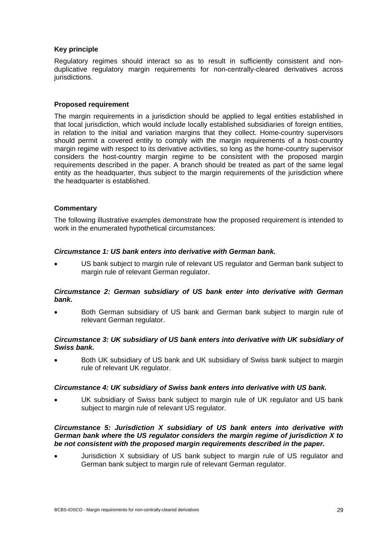#### **Key principle**

Regulatory regimes should interact so as to result in sufficiently consistent and nonduplicative regulatory margin requirements for non-centrally-cleared derivatives across jurisdictions.

#### **Proposed requirement**

The margin requirements in a jurisdiction should be applied to legal entities established in that local jurisdiction, which would include locally established subsidiaries of foreign entities, in relation to the initial and variation margins that they collect. Home-country supervisors should permit a covered entity to comply with the margin requirements of a host-country margin regime with respect to its derivative activities, so long as the home-country supervisor considers the host-country margin regime to be consistent with the proposed margin requirements described in the paper. A branch should be treated as part of the same legal entity as the headquarter, thus subject to the margin requirements of the jurisdiction where the headquarter is established.

#### **Commentary**

The following illustrative examples demonstrate how the proposed requirement is intended to work in the enumerated hypothetical circumstances:

#### *Circumstance 1: US bank enters into derivative with German bank.*

 US bank subject to margin rule of relevant US regulator and German bank subject to margin rule of relevant German regulator.

#### *Circumstance 2: German subsidiary of US bank enter into derivative with German bank.*

 Both German subsidiary of US bank and German bank subject to margin rule of relevant German regulator.

#### *Circumstance 3: UK subsidiary of US bank enters into derivative with UK subsidiary of Swiss bank.*

 Both UK subsidiary of US bank and UK subsidiary of Swiss bank subject to margin rule of relevant UK regulator.

#### *Circumstance 4: UK subsidiary of Swiss bank enters into derivative with US bank.*

 UK subsidiary of Swiss bank subject to margin rule of UK regulator and US bank subject to margin rule of relevant US regulator.

#### *Circumstance 5: Jurisdiction X subsidiary of US bank enters into derivative with German bank where the US regulator considers the margin regime of jurisdiction X to be not consistent with the proposed margin requirements described in the paper.*

 Jurisdiction X subsidiary of US bank subject to margin rule of US regulator and German bank subject to margin rule of relevant German regulator.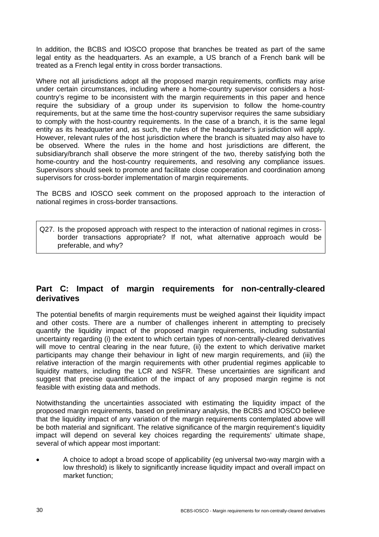In addition, the BCBS and IOSCO propose that branches be treated as part of the same legal entity as the headquarters. As an example, a US branch of a French bank will be treated as a French legal entity in cross border transactions.

Where not all jurisdictions adopt all the proposed margin requirements, conflicts may arise under certain circumstances, including where a home-country supervisor considers a hostcountry's regime to be inconsistent with the margin requirements in this paper and hence require the subsidiary of a group under its supervision to follow the home-country requirements, but at the same time the host-country supervisor requires the same subsidiary to comply with the host-country requirements. In the case of a branch, it is the same legal entity as its headquarter and, as such, the rules of the headquarter's jurisdiction will apply. However, relevant rules of the host jurisdiction where the branch is situated may also have to be observed. Where the rules in the home and host jurisdictions are different, the subsidiary/branch shall observe the more stringent of the two, thereby satisfying both the home-country and the host-country requirements, and resolving any compliance issues. Supervisors should seek to promote and facilitate close cooperation and coordination among supervisors for cross-border implementation of margin requirements.

The BCBS and IOSCO seek comment on the proposed approach to the interaction of national regimes in cross-border transactions.

Q27. Is the proposed approach with respect to the interaction of national regimes in crossborder transactions appropriate? If not, what alternative approach would be preferable, and why?

## **Part C: Impact of margin requirements for non-centrally-cleared derivatives**

The potential benefits of margin requirements must be weighed against their liquidity impact and other costs. There are a number of challenges inherent in attempting to precisely quantify the liquidity impact of the proposed margin requirements, including substantial uncertainty regarding (i) the extent to which certain types of non-centrally-cleared derivatives will move to central clearing in the near future, (ii) the extent to which derivative market participants may change their behaviour in light of new margin requirements, and (iii) the relative interaction of the margin requirements with other prudential regimes applicable to liquidity matters, including the LCR and NSFR. These uncertainties are significant and suggest that precise quantification of the impact of any proposed margin regime is not feasible with existing data and methods.

Notwithstanding the uncertainties associated with estimating the liquidity impact of the proposed margin requirements, based on preliminary analysis, the BCBS and IOSCO believe that the liquidity impact of any variation of the margin requirements contemplated above will be both material and significant. The relative significance of the margin requirement's liquidity impact will depend on several key choices regarding the requirements' ultimate shape, several of which appear most important:

 A choice to adopt a broad scope of applicability (eg universal two-way margin with a low threshold) is likely to significantly increase liquidity impact and overall impact on market function;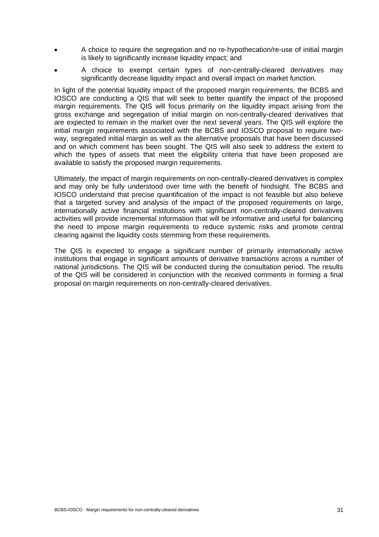- A choice to require the segregation and no re-hypothecation/re-use of initial margin is likely to significantly increase liquidity impact; and
- A choice to exempt certain types of non-centrally-cleared derivatives may significantly decrease liquidity impact and overall impact on market function.

In light of the potential liquidity impact of the proposed margin requirements, the BCBS and IOSCO are conducting a QIS that will seek to better quantify the impact of the proposed margin requirements. The QIS will focus primarily on the liquidity impact arising from the gross exchange and segregation of initial margin on non-centrally-cleared derivatives that are expected to remain in the market over the next several years. The QIS will explore the initial margin requirements associated with the BCBS and IOSCO proposal to require twoway, segregated initial margin as well as the alternative proposals that have been discussed and on which comment has been sought. The QIS will also seek to address the extent to which the types of assets that meet the eligibility criteria that have been proposed are available to satisfy the proposed margin requirements.

Ultimately, the impact of margin requirements on non-centrally-cleared derivatives is complex and may only be fully understood over time with the benefit of hindsight. The BCBS and IOSCO understand that precise quantification of the impact is not feasible but also believe that a targeted survey and analysis of the impact of the proposed requirements on large, internationally active financial institutions with significant non-centrally-cleared derivatives activities will provide incremental information that will be informative and useful for balancing the need to impose margin requirements to reduce systemic risks and promote central clearing against the liquidity costs stemming from these requirements.

The QIS is expected to engage a significant number of primarily internationally active institutions that engage in significant amounts of derivative transactions across a number of national jurisdictions. The QIS will be conducted during the consultation period. The results of the QIS will be considered in conjunction with the received comments in forming a final proposal on margin requirements on non-centrally-cleared derivatives.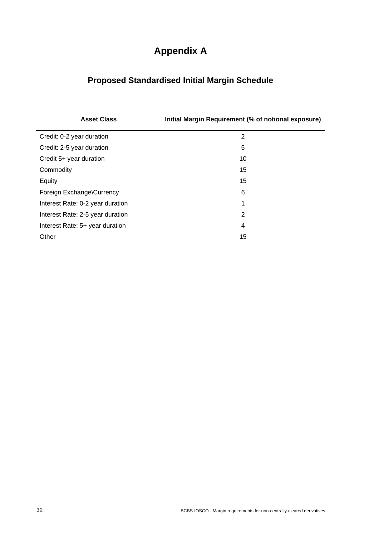# **Appendix A**

# **Proposed Standardised Initial Margin Schedule**

| <b>Asset Class</b>               | Initial Margin Requirement (% of notional exposure) |
|----------------------------------|-----------------------------------------------------|
| Credit: 0-2 year duration        | 2                                                   |
| Credit: 2-5 year duration        | 5                                                   |
| Credit 5+ year duration          | 10                                                  |
| Commodity                        | 15                                                  |
| Equity                           | 15                                                  |
| Foreign Exchange\Currency        | 6                                                   |
| Interest Rate: 0-2 year duration | 1                                                   |
| Interest Rate: 2-5 year duration | 2                                                   |
| Interest Rate: 5+ year duration  | 4                                                   |
| Other                            | 15                                                  |